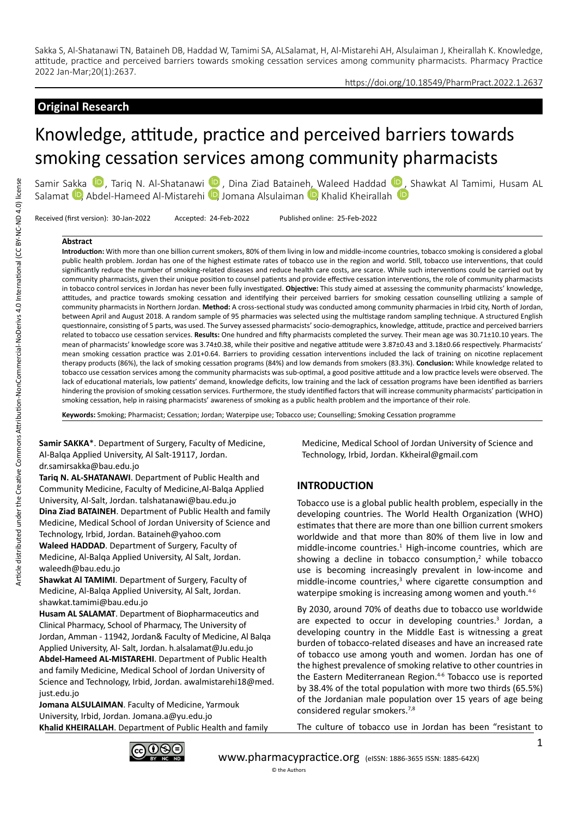## https://doi.org/10.18549/PharmPract.2022.1.2637

# **Original Research**

# Knowledge, attitude, practice and perceived barriers towards smoking cessation services among community pharmacists

Samir Sakka <sup>(D</sup>)[,](https://orcid.org/0000-0001-5087-1371)Tariq N. Al-Shatanawi <sup>(D</sup>)[,](https://orcid.org/0000-0003-4504-4472) Dina Ziad Bataineh, Waleed Haddad <sup>(D</sup>), Shawkat Al Tamimi, Husam AL Salamat <sup>(D</sup>, Abdel-Hameed Al-Mistarehi <sup>(D</sup>, Jomana Alsulaiman <sup>(D</sup>, Khalid Kheirallah (D

Received (first version): 30-Jan-2022 Accepted: 24-Feb-2022 Published online: 25-Feb-2022

#### **Abstract**

**Introduction:** With more than one billion current smokers, 80% of them living in low and middle-income countries, tobacco smoking is considered a global public health problem. Jordan has one of the highest estimate rates of tobacco use in the region and world. Still, tobacco use interventions, that could significantly reduce the number of smoking-related diseases and reduce health care costs, are scarce. While such interventions could be carried out by community pharmacists, given their unique position to counsel patients and provide effective cessation interventions, the role of community pharmacists in tobacco control services in Jordan has never been fully investigated. **Objective:** This study aimed at assessing the community pharmacists' knowledge, attitudes, and practice towards smoking cessation and identifying their perceived barriers for smoking cessation counselling utilizing a sample of community pharmacists in Northern Jordan. **Method:** A cross-sectional study was conducted among community pharmacies in Irbid city, North of Jordan, between April and August 2018. A random sample of 95 pharmacies was selected using the multistage random sampling technique. A structured English questionnaire, consisting of 5 parts, was used. The Survey assessed pharmacists' socio-demographics, knowledge, attitude, practice and perceived barriers related to tobacco use cessation services. **Results:** One hundred and fifty pharmacists completed the survey. Their mean age was 30.71±10.10 years. The mean of pharmacists' knowledge score was 3.74±0.38, while their positive and negative attitude were 3.87±0.43 and 3.18±0.66 respectively. Pharmacists' mean smoking cessation practice was 2.01+0.64. Barriers to providing cessation interventions included the lack of training on nicotine replacement therapy products (86%), the lack of smoking cessation programs (84%) and low demands from smokers (83.3%). **Conclusion:** While knowledge related to tobacco use cessation services among the community pharmacists was sub-optimal, a good positive attitude and a low practice levels were observed. The lack of educational materials, low patients' demand, knowledge deficits, low training and the lack of cessation programs have been identified as barriers hindering the provision of smoking cessation services. Furthermore, the study identified factors that will increase community pharmacists' participation in smoking cessation, help in raising pharmacists' awareness of smoking as a public health problem and the importance of their role.

**Keywords:** Smoking; Pharmacist; Cessation; Jordan; Waterpipe use; Tobacco use; Counselling; Smoking Cessation programme

**Samir SAKKA**\*. Department of Surgery, Faculty of Medicine, Al-Balqa Applied University, Al Salt-19117, Jordan. dr.samirsakka@bau.edu.jo

**Tariq N. AL-SHATANAWI**. Department of Public Health and Community Medicine, Faculty of Medicine,Al-Balqa Applied University, Al-Salt, Jordan. talshatanawi@bau.edu.jo **Dina Ziad BATAINEH**. Department of Public Health and family Medicine, Medical School of Jordan University of Science and Technology, Irbid, Jordan. Bataineh@yahoo.com **Waleed HADDAD**. Department of Surgery, Faculty of Medicine, Al-Balqa Applied University, Al Salt, Jordan. waleedh@bau.edu.jo

**Shawkat Al TAMIMI**. Department of Surgery, Faculty of Medicine, Al-Balqa Applied University, Al Salt, Jordan. shawkat.tamimi@bau.edu.jo

**Husam AL SALAMAT**. Department of Biopharmaceutics and Clinical Pharmacy, School of Pharmacy, The University of Jordan, Amman - 11942, Jordan& Faculty of Medicine, Al Balqa Applied University, Al- Salt, Jordan. h.alsalamat@Ju.edu.jo **Abdel-Hameed AL-MISTAREHI**. Department of Public Health and family Medicine, Medical School of Jordan University of Science and Technology, Irbid, Jordan. awalmistarehi18@med. just.edu.jo

**Jomana ALSULAIMAN**. Faculty of Medicine, Yarmouk University, Irbid, Jordan. Jomana.a@yu.edu.jo **Khalid KHEIRALLAH**. Department of Public Health and family Medicine, Medical School of Jordan University of Science and Technology, Irbid, Jordan. Kkheiral@gmail.com

# **INTRODUCTION**

Tobacco use is a global public health problem, especially in the developing countries. The World Health Organization (WHO) estimates that there are more than one billion current smokers worldwide and that more than 80% of them live in low and middle-income countries.<sup>1</sup> High-income countries, which are showing a decline in tobacco consumption, $2$  while tobacco use is becoming increasingly prevalent in low-income and middle-income countries,<sup>3</sup> where cigarette consumption and waterpipe smoking is increasing among women and youth.<sup>4-6</sup>

By 2030, around 70% of deaths due to tobacco use worldwide are expected to occur in developing countries.<sup>3</sup> Jordan, a developing country in the Middle East is witnessing a great burden of tobacco-related diseases and have an increased rate of tobacco use among youth and women. Jordan has one of the highest prevalence of smoking relative to other countries in the Eastern Mediterranean Region.<sup>4-6</sup> Tobacco use is reported by 38.4% of the total population with more two thirds (65.5%) of the Jordanian male population over 15 years of age being considered regular smokers.7,8

The culture of tobacco use in Jordan has been "resistant to

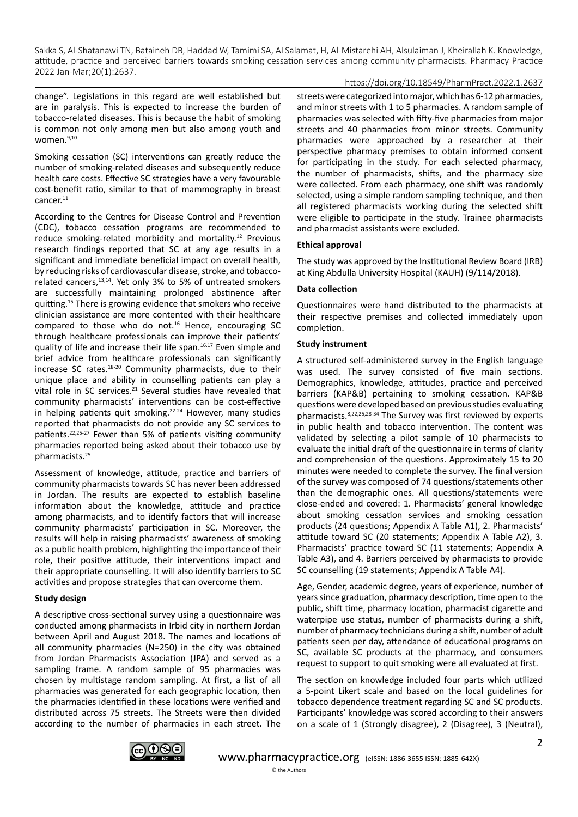# https://doi.org/10.18549/PharmPract.2022.1.2637

change". Legislations in this regard are well established but are in paralysis. This is expected to increase the burden of tobacco-related diseases. This is because the habit of smoking is common not only among men but also among youth and women.<sup>9,10</sup>

Smoking cessation (SC) interventions can greatly reduce the number of smoking-related diseases and subsequently reduce health care costs. Effective SC strategies have a very favourable cost-benefit ratio, similar to that of mammography in breast cancer.<sup>11</sup>

According to the Centres for Disease Control and Prevention (CDC), tobacco cessation programs are recommended to reduce smoking-related morbidity and mortality.12 Previous research findings reported that SC at any age results in a significant and immediate beneficial impact on overall health, by reducing risks of cardiovascular disease, stroke, and tobaccorelated cancers,13,14. Yet only 3% to 5% of untreated smokers are successfully maintaining prolonged abstinence after quitting.15 There is growing evidence that smokers who receive clinician assistance are more contented with their healthcare compared to those who do not. $16$  Hence, encouraging SC through healthcare professionals can improve their patients' quality of life and increase their life span.16,17 Even simple and brief advice from healthcare professionals can significantly increase SC rates.18-20 Community pharmacists, due to their unique place and ability in counselling patients can play a vital role in SC services.<sup>21</sup> Several studies have revealed that community pharmacists' interventions can be cost-effective in helping patients quit smoking.<sup>22-24</sup> However, many studies reported that pharmacists do not provide any SC services to patients.22,25-27 Fewer than 5% of patients visiting community pharmacies reported being asked about their tobacco use by pharmacists.25

Assessment of knowledge, attitude, practice and barriers of community pharmacists towards SC has never been addressed in Jordan. The results are expected to establish baseline information about the knowledge, attitude and practice among pharmacists, and to identify factors that will increase community pharmacists' participation in SC. Moreover, the results will help in raising pharmacists' awareness of smoking as a public health problem, highlighting the importance of their role, their positive attitude, their interventions impact and their appropriate counselling. It will also identify barriers to SC activities and propose strategies that can overcome them.

# **Study design**

A descriptive cross-sectional survey using a questionnaire was conducted among pharmacists in Irbid city in northern Jordan between April and August 2018. The names and locations of all community pharmacies (N=250) in the city was obtained from Jordan Pharmacists Association (JPA) and served as a sampling frame. A random sample of 95 pharmacies was chosen by multistage random sampling. At first, a list of all pharmacies was generated for each geographic location, then the pharmacies identified in these locations were verified and distributed across 75 streets. The Streets were then divided according to the number of pharmacies in each street. The

streets were categorized into major, which has 6-12 pharmacies, and minor streets with 1 to 5 pharmacies. A random sample of pharmacies was selected with fifty-five pharmacies from major streets and 40 pharmacies from minor streets. Community pharmacies were approached by a researcher at their perspective pharmacy premises to obtain informed consent for participating in the study. For each selected pharmacy, the number of pharmacists, shifts, and the pharmacy size were collected. From each pharmacy, one shift was randomly selected, using a simple random sampling technique, and then all registered pharmacists working during the selected shift were eligible to participate in the study. Trainee pharmacists and pharmacist assistants were excluded.

# **Ethical approval**

The study was approved by the Institutional Review Board (IRB) at King Abdulla University Hospital (KAUH) (9/114/2018).

## **Data collection**

Questionnaires were hand distributed to the pharmacists at their respective premises and collected immediately upon completion.

# **Study instrument**

A structured self-administered survey in the English language was used. The survey consisted of five main sections. Demographics, knowledge, attitudes, practice and perceived barriers (KAP&B) pertaining to smoking cessation. KAP&B questions were developed based on previous studies evaluating pharmacists.8,22,25,28-34 The Survey was first reviewed by experts in public health and tobacco intervention. The content was validated by selecting a pilot sample of 10 pharmacists to evaluate the initial draft of the questionnaire in terms of clarity and comprehension of the questions. Approximately 15 to 20 minutes were needed to complete the survey. The final version of the survey was composed of 74 questions/statements other than the demographic ones. All questions/statements were close-ended and covered: 1. Pharmacists' general knowledge about smoking cessation services and smoking cessation products (24 questions; Appendix A Table A1), 2. Pharmacists' attitude toward SC (20 statements; Appendix A Table A2), 3. Pharmacists' practice toward SC (11 statements; Appendix A Table A3), and 4. Barriers perceived by pharmacists to provide SC counselling (19 statements; Appendix A Table A4).

Age, Gender, academic degree, years of experience, number of years since graduation, pharmacy description, time open to the public, shift time, pharmacy location, pharmacist cigarette and waterpipe use status, number of pharmacists during a shift, number of pharmacy technicians during a shift, number of adult patients seen per day, attendance of educational programs on SC, available SC products at the pharmacy, and consumers request to support to quit smoking were all evaluated at first.

The section on knowledge included four parts which utilized a 5-point Likert scale and based on the local guidelines for tobacco dependence treatment regarding SC and SC products. Participants' knowledge was scored according to their answers on a scale of 1 (Strongly disagree), 2 (Disagree), 3 (Neutral),

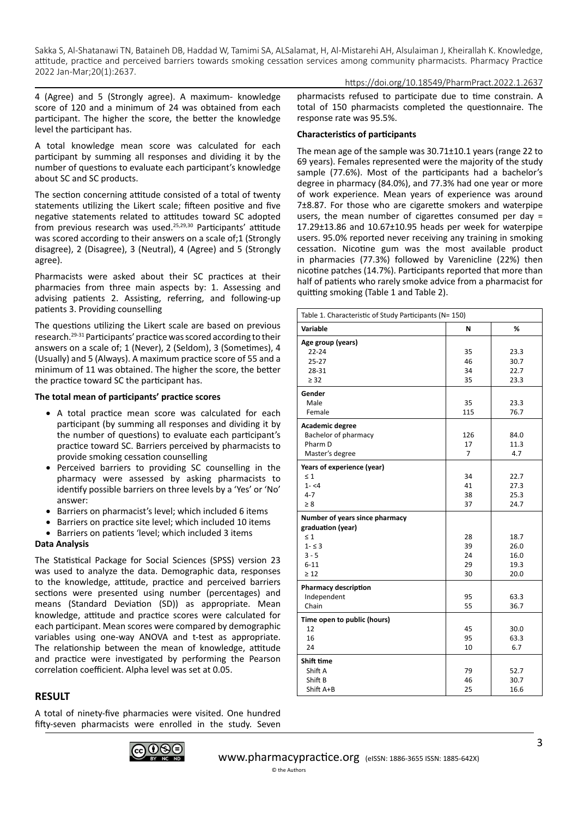#### https://doi.org/10.18549/PharmPract.2022.1.2637

4 (Agree) and 5 (Strongly agree). A maximum- knowledge score of 120 and a minimum of 24 was obtained from each participant. The higher the score, the better the knowledge level the participant has.

A total knowledge mean score was calculated for each participant by summing all responses and dividing it by the number of questions to evaluate each participant's knowledge about SC and SC products.

The section concerning attitude consisted of a total of twenty statements utilizing the Likert scale; fifteen positive and five negative statements related to attitudes toward SC adopted from previous research was used.<sup>25,29,30</sup> Participants' attitude was scored according to their answers on a scale of;1 (Strongly disagree), 2 (Disagree), 3 (Neutral), 4 (Agree) and 5 (Strongly agree).

Pharmacists were asked about their SC practices at their pharmacies from three main aspects by: 1. Assessing and advising patients 2. Assisting, referring, and following-up patients 3. Providing counselling

The questions utilizing the Likert scale are based on previous research.29-31 Participants' practice was scored according to their answers on a scale of; 1 (Never), 2 (Seldom), 3 (Sometimes), 4 (Usually) and 5 (Always). A maximum practice score of 55 and a minimum of 11 was obtained. The higher the score, the better the practice toward SC the participant has.

## **The total mean of participants' practice scores**

- A total practice mean score was calculated for each participant (by summing all responses and dividing it by the number of questions) to evaluate each participant's practice toward SC. Barriers perceived by pharmacists to provide smoking cessation counselling
- Perceived barriers to providing SC counselling in the pharmacy were assessed by asking pharmacists to identify possible barriers on three levels by a 'Yes' or 'No' answer:
- Barriers on pharmacist's level; which included 6 items
- Barriers on practice site level; which included 10 items
- • Barriers on patients 'level; which included 3 items

#### **Data Analysis**

The Statistical Package for Social Sciences (SPSS) version 23 was used to analyze the data. Demographic data, responses to the knowledge, attitude, practice and perceived barriers sections were presented using number (percentages) and means (Standard Deviation (SD)) as appropriate. Mean knowledge, attitude and practice scores were calculated for each participant. Mean scores were compared by demographic variables using one-way ANOVA and t-test as appropriate. The relationship between the mean of knowledge, attitude and practice were investigated by performing the Pearson correlation coefficient. Alpha level was set at 0.05.

# **RESULT**

A total of ninety-five pharmacies were visited. One hundred fifty-seven pharmacists were enrolled in the study. Seven



[www.pharmacypractice.org](https://orcid.org/0000-0003-3455-7491) (eISSN: 1886-3655 ISSN: 1885-642X)

## **Characteristics of participants**

The mean age of the sample was 30.71±10.1 years (range 22 to 69 years). Females represented were the majority of the study sample (77.6%). Most of the participants had a bachelor's degree in pharmacy (84.0%), and 77.3% had one year or more of work experience. Mean years of experience was around 7±8.87. For those who are cigarette smokers and waterpipe users, the mean number of cigarettes consumed per day = 17.29±13.86 and 10.67±10.95 heads per week for waterpipe users. 95.0% reported never receiving any training in smoking cessation. Nicotine gum was the most available product in pharmacies (77.3%) followed by Varenicline (22%) then nicotine patches (14.7%). Participants reported that more than half of patients who rarely smoke advice from a pharmacist for quitting smoking (Table 1 and Table 2).

| Table 1. Characteristic of Study Participants (N= 150) |     |      |  |  |
|--------------------------------------------------------|-----|------|--|--|
| Variable                                               | N   | ℅    |  |  |
| Age group (years)                                      |     |      |  |  |
| $22 - 24$                                              | 35  | 23.3 |  |  |
| $25 - 27$                                              | 46  | 30.7 |  |  |
| 28-31                                                  | 34  | 22.7 |  |  |
| $\geq$ 32                                              | 35  | 23.3 |  |  |
| Gender                                                 |     |      |  |  |
| Male                                                   | 35  | 23.3 |  |  |
| Female                                                 | 115 | 76.7 |  |  |
| Academic degree                                        |     |      |  |  |
| Bachelor of pharmacy                                   | 126 | 84.0 |  |  |
| Pharm D                                                | 17  | 11.3 |  |  |
| Master's degree                                        | 7   | 4.7  |  |  |
| Years of experience (year)                             |     |      |  |  |
| $\leq 1$                                               | 34  | 22.7 |  |  |
| $1 - 54$                                               | 41  | 27.3 |  |  |
| $4 - 7$                                                | 38  | 25.3 |  |  |
| $\geq 8$                                               | 37  | 24.7 |  |  |
| Number of years since pharmacy                         |     |      |  |  |
| graduation (year)                                      |     |      |  |  |
| $\leq 1$                                               | 28  | 18.7 |  |  |
| $1 - 53$                                               | 39  | 26.0 |  |  |
| $3 - 5$                                                | 24  | 16.0 |  |  |
| $6 - 11$                                               | 29  | 19.3 |  |  |
| $\geq 12$                                              | 30  | 20.0 |  |  |
| <b>Pharmacy description</b>                            |     |      |  |  |
| Independent                                            | 95  | 63.3 |  |  |
| Chain                                                  | 55  | 36.7 |  |  |
| Time open to public (hours)                            |     |      |  |  |
| 12                                                     | 45  | 30.0 |  |  |
| 16                                                     | 95  | 63.3 |  |  |
| 24                                                     | 10  | 6.7  |  |  |
| Shift time                                             |     |      |  |  |
| Shift A                                                | 79  | 52.7 |  |  |
| Shift B                                                | 46  | 30.7 |  |  |
| Shift A+B                                              | 25  | 16.6 |  |  |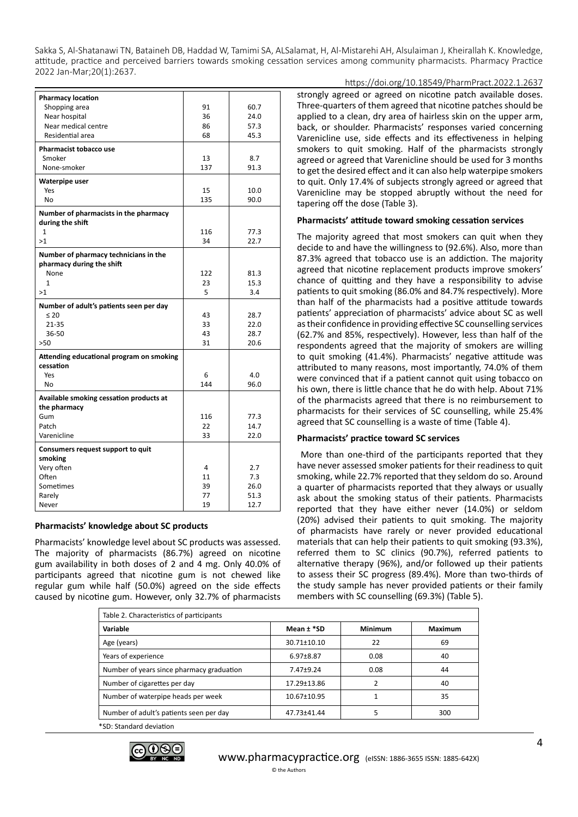| <b>Pharmacy location</b>                                           |     |      |
|--------------------------------------------------------------------|-----|------|
| Shopping area                                                      | 91  | 60.7 |
| Near hospital                                                      | 36  | 24.0 |
| Near medical centre                                                | 86  | 57.3 |
| Residential area                                                   | 68  | 45.3 |
| <b>Pharmacist tobacco use</b>                                      |     |      |
| Smoker                                                             | 13  | 8.7  |
| None-smoker                                                        | 137 | 91.3 |
| Waterpipe user                                                     |     |      |
| Yes                                                                | 15  | 10.0 |
| No                                                                 | 135 | 90.0 |
| Number of pharmacists in the pharmacy<br>during the shift          |     |      |
| $\mathbf{1}$                                                       | 116 | 77.3 |
| >1                                                                 | 34  | 22.7 |
| Number of pharmacy technicians in the<br>pharmacy during the shift |     |      |
| None                                                               | 122 | 81.3 |
| $\mathbf{1}$                                                       | 23  | 15.3 |
| >1                                                                 | 5   | 3.4  |
| Number of adult's patients seen per day                            |     |      |
| $\leq 20$                                                          | 43  | 28.7 |
| 21-35                                                              | 33  | 22.0 |
| 36-50                                                              | 43  | 28.7 |
| $>50$                                                              | 31  | 20.6 |
| Attending educational program on smoking<br>cessation              |     |      |
| Yes                                                                | 6   | 4.0  |
| No                                                                 | 144 | 96.0 |
| Available smoking cessation products at<br>the pharmacy            |     |      |
| Gum                                                                | 116 | 77.3 |
| Patch                                                              | 22  | 14.7 |
| Varenicline                                                        | 33  | 22.0 |
| Consumers request support to quit                                  |     |      |
| smoking                                                            |     |      |
| Very often                                                         | 4   | 2.7  |
| Often                                                              | 11  | 7.3  |
| Sometimes                                                          | 39  | 26.0 |
| Rarely                                                             | 77  | 51.3 |
| Never                                                              | 19  | 12.7 |
|                                                                    |     |      |

# **Pharmacists' knowledge about SC products**

Pharmacists' knowledge level about SC products was assessed. The majority of pharmacists (86.7%) agreed on nicotine gum availability in both doses of 2 and 4 mg. Only 40.0% of participants agreed that nicotine gum is not chewed like regular gum while half (50.0%) agreed on the side effects caused by nicotine gum. However, only 32.7% of pharmacists

https://doi.org/10.18549/PharmPract.2022.1.2637 strongly agreed or agreed on nicotine patch available doses. Three-quarters of them agreed that nicotine patches should be applied to a clean, dry area of hairless skin on the upper arm, back, or shoulder. Pharmacists' responses varied concerning Varenicline use, side effects and its effectiveness in helping smokers to quit smoking. Half of the pharmacists strongly agreed or agreed that Varenicline should be used for 3 months to get the desired effect and it can also help waterpipe smokers to quit. Only 17.4% of subjects strongly agreed or agreed that Varenicline may be stopped abruptly without the need for tapering off the dose (Table 3).

#### **Pharmacists' attitude toward smoking cessation services**

The majority agreed that most smokers can quit when they decide to and have the willingness to (92.6%). Also, more than 87.3% agreed that tobacco use is an addiction. The majority agreed that nicotine replacement products improve smokers' chance of quitting and they have a responsibility to advise patients to quit smoking (86.0% and 84.7% respectively). More than half of the pharmacists had a positive attitude towards patients' appreciation of pharmacists' advice about SC as well as their confidence in providing effective SC counselling services (62.7% and 85%, respectively). However, less than half of the respondents agreed that the majority of smokers are willing to quit smoking (41.4%). Pharmacists' negative attitude was attributed to many reasons, most importantly, 74.0% of them were convinced that if a patient cannot quit using tobacco on his own, there is little chance that he do with help. About 71% of the pharmacists agreed that there is no reimbursement to pharmacists for their services of SC counselling, while 25.4% agreed that SC counselling is a waste of time (Table 4).

#### **Pharmacists' practice toward SC services**

 More than one-third of the participants reported that they have never assessed smoker patients for their readiness to quit smoking, while 22.7% reported that they seldom do so. Around a quarter of pharmacists reported that they always or usually ask about the smoking status of their patients. Pharmacists reported that they have either never (14.0%) or seldom (20%) advised their patients to quit smoking. The majority of pharmacists have rarely or never provided educational materials that can help their patients to quit smoking (93.3%), referred them to SC clinics (90.7%), referred patients to alternative therapy (96%), and/or followed up their patients to assess their SC progress (89.4%). More than two-thirds of the study sample has never provided patients or their family members with SC counselling (69.3%) (Table 5).

 $\Delta$ 

| Table 2. Characteristics of participants  |                   |                |         |
|-------------------------------------------|-------------------|----------------|---------|
| Variable                                  | Mean $\pm$ *SD    | <b>Minimum</b> | Maximum |
| Age (years)                               | $30.71 \pm 10.10$ | 22             | 69      |
| Years of experience                       | $6.97 \pm 8.87$   | 0.08           | 40      |
| Number of years since pharmacy graduation | $7.47 + 9.24$     | 0.08           | 44      |
| Number of cigarettes per day              | 17.29±13.86       | $\overline{2}$ | 40      |
| Number of waterpipe heads per week        | 10.67±10.95       |                | 35      |
| Number of adult's patients seen per day   | 47.73±41.44       | 5              | 300     |
| *SD: Standard deviation                   |                   |                |         |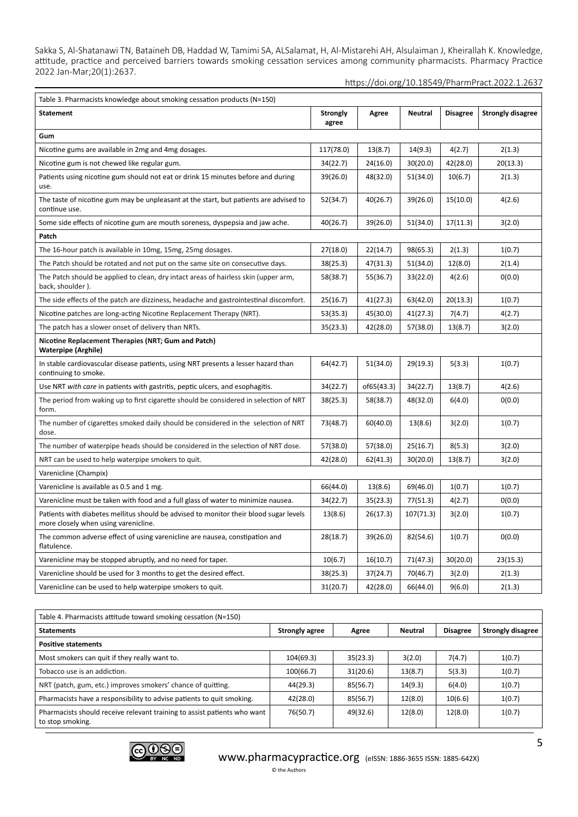https://doi.org/10.18549/PharmPract.2022.1.2637

| <b>Statement</b><br><b>Strongly</b><br><b>Neutral</b><br><b>Disagree</b><br><b>Strongly disagree</b><br>Agree<br>agree<br>Gum<br>Nicotine gums are available in 2mg and 4mg dosages.<br>117(78.0)<br>13(8.7)<br>14(9.3)<br>4(2.7)<br>2(1.3)<br>24(16.0)<br>20(13.3)<br>Nicotine gum is not chewed like regular gum.<br>34(22.7)<br>30(20.0)<br>42(28.0)<br>Patients using nicotine gum should not eat or drink 15 minutes before and during<br>39(26.0)<br>48(32.0)<br>51(34.0)<br>10(6.7)<br>2(1.3)<br>use.<br>52(34.7)<br>40(26.7)<br>39(26.0)<br>15(10.0)<br>4(2.6)<br>The taste of nicotine gum may be unpleasant at the start, but patients are advised to<br>continue use.<br>40(26.7)<br>39(26.0)<br>51(34.0)<br>17(11.3)<br>3(2.0)<br>Some side effects of nicotine gum are mouth soreness, dyspepsia and jaw ache.<br>Patch<br>98(65.3)<br>The 16-hour patch is available in 10mg, 15mg, 25mg dosages.<br>27(18.0)<br>22(14.7)<br>2(1.3)<br>1(0.7)<br>38(25.3)<br>47(31.3)<br>51(34.0)<br>12(8.0)<br>2(1.4)<br>The Patch should be rotated and not put on the same site on consecutive days.<br>The Patch should be applied to clean, dry intact areas of hairless skin (upper arm,<br>58(38.7)<br>55(36.7)<br>33(22.0)<br>4(2.6)<br>0(0.0)<br>back, shoulder).<br>The side effects of the patch are dizziness, headache and gastrointestinal discomfort.<br>25(16.7)<br>41(27.3)<br>63(42.0)<br>20(13.3)<br>1(0.7)<br>41(27.3)<br>53(35.3)<br>45(30.0)<br>7(4.7)<br>4(2.7)<br>Nicotine patches are long-acting Nicotine Replacement Therapy (NRT).<br>35(23.3)<br>42(28.0)<br>57(38.0)<br>13(8.7)<br>The patch has a slower onset of delivery than NRTs.<br>3(2.0)<br>Nicotine Replacement Therapies (NRT; Gum and Patch)<br><b>Waterpipe (Arghile)</b><br>51(34.0)<br>29(19.3)<br>In stable cardiovascular disease patients, using NRT presents a lesser hazard than<br>64(42.7)<br>5(3.3)<br>1(0.7) |
|-----------------------------------------------------------------------------------------------------------------------------------------------------------------------------------------------------------------------------------------------------------------------------------------------------------------------------------------------------------------------------------------------------------------------------------------------------------------------------------------------------------------------------------------------------------------------------------------------------------------------------------------------------------------------------------------------------------------------------------------------------------------------------------------------------------------------------------------------------------------------------------------------------------------------------------------------------------------------------------------------------------------------------------------------------------------------------------------------------------------------------------------------------------------------------------------------------------------------------------------------------------------------------------------------------------------------------------------------------------------------------------------------------------------------------------------------------------------------------------------------------------------------------------------------------------------------------------------------------------------------------------------------------------------------------------------------------------------------------------------------------------------------------------------------------------------------------------------------------------------------------------------------------------------|
|                                                                                                                                                                                                                                                                                                                                                                                                                                                                                                                                                                                                                                                                                                                                                                                                                                                                                                                                                                                                                                                                                                                                                                                                                                                                                                                                                                                                                                                                                                                                                                                                                                                                                                                                                                                                                                                                                                                 |
|                                                                                                                                                                                                                                                                                                                                                                                                                                                                                                                                                                                                                                                                                                                                                                                                                                                                                                                                                                                                                                                                                                                                                                                                                                                                                                                                                                                                                                                                                                                                                                                                                                                                                                                                                                                                                                                                                                                 |
|                                                                                                                                                                                                                                                                                                                                                                                                                                                                                                                                                                                                                                                                                                                                                                                                                                                                                                                                                                                                                                                                                                                                                                                                                                                                                                                                                                                                                                                                                                                                                                                                                                                                                                                                                                                                                                                                                                                 |
|                                                                                                                                                                                                                                                                                                                                                                                                                                                                                                                                                                                                                                                                                                                                                                                                                                                                                                                                                                                                                                                                                                                                                                                                                                                                                                                                                                                                                                                                                                                                                                                                                                                                                                                                                                                                                                                                                                                 |
|                                                                                                                                                                                                                                                                                                                                                                                                                                                                                                                                                                                                                                                                                                                                                                                                                                                                                                                                                                                                                                                                                                                                                                                                                                                                                                                                                                                                                                                                                                                                                                                                                                                                                                                                                                                                                                                                                                                 |
|                                                                                                                                                                                                                                                                                                                                                                                                                                                                                                                                                                                                                                                                                                                                                                                                                                                                                                                                                                                                                                                                                                                                                                                                                                                                                                                                                                                                                                                                                                                                                                                                                                                                                                                                                                                                                                                                                                                 |
|                                                                                                                                                                                                                                                                                                                                                                                                                                                                                                                                                                                                                                                                                                                                                                                                                                                                                                                                                                                                                                                                                                                                                                                                                                                                                                                                                                                                                                                                                                                                                                                                                                                                                                                                                                                                                                                                                                                 |
|                                                                                                                                                                                                                                                                                                                                                                                                                                                                                                                                                                                                                                                                                                                                                                                                                                                                                                                                                                                                                                                                                                                                                                                                                                                                                                                                                                                                                                                                                                                                                                                                                                                                                                                                                                                                                                                                                                                 |
|                                                                                                                                                                                                                                                                                                                                                                                                                                                                                                                                                                                                                                                                                                                                                                                                                                                                                                                                                                                                                                                                                                                                                                                                                                                                                                                                                                                                                                                                                                                                                                                                                                                                                                                                                                                                                                                                                                                 |
|                                                                                                                                                                                                                                                                                                                                                                                                                                                                                                                                                                                                                                                                                                                                                                                                                                                                                                                                                                                                                                                                                                                                                                                                                                                                                                                                                                                                                                                                                                                                                                                                                                                                                                                                                                                                                                                                                                                 |
|                                                                                                                                                                                                                                                                                                                                                                                                                                                                                                                                                                                                                                                                                                                                                                                                                                                                                                                                                                                                                                                                                                                                                                                                                                                                                                                                                                                                                                                                                                                                                                                                                                                                                                                                                                                                                                                                                                                 |
|                                                                                                                                                                                                                                                                                                                                                                                                                                                                                                                                                                                                                                                                                                                                                                                                                                                                                                                                                                                                                                                                                                                                                                                                                                                                                                                                                                                                                                                                                                                                                                                                                                                                                                                                                                                                                                                                                                                 |
|                                                                                                                                                                                                                                                                                                                                                                                                                                                                                                                                                                                                                                                                                                                                                                                                                                                                                                                                                                                                                                                                                                                                                                                                                                                                                                                                                                                                                                                                                                                                                                                                                                                                                                                                                                                                                                                                                                                 |
|                                                                                                                                                                                                                                                                                                                                                                                                                                                                                                                                                                                                                                                                                                                                                                                                                                                                                                                                                                                                                                                                                                                                                                                                                                                                                                                                                                                                                                                                                                                                                                                                                                                                                                                                                                                                                                                                                                                 |
|                                                                                                                                                                                                                                                                                                                                                                                                                                                                                                                                                                                                                                                                                                                                                                                                                                                                                                                                                                                                                                                                                                                                                                                                                                                                                                                                                                                                                                                                                                                                                                                                                                                                                                                                                                                                                                                                                                                 |
| continuing to smoke.                                                                                                                                                                                                                                                                                                                                                                                                                                                                                                                                                                                                                                                                                                                                                                                                                                                                                                                                                                                                                                                                                                                                                                                                                                                                                                                                                                                                                                                                                                                                                                                                                                                                                                                                                                                                                                                                                            |
| 34(22.7)<br>Use NRT with care in patients with gastritis, peptic ulcers, and esophagitis.<br>of65(43.3)<br>34(22.7)<br>13(8.7)<br>4(2.6)                                                                                                                                                                                                                                                                                                                                                                                                                                                                                                                                                                                                                                                                                                                                                                                                                                                                                                                                                                                                                                                                                                                                                                                                                                                                                                                                                                                                                                                                                                                                                                                                                                                                                                                                                                        |
| The period from waking up to first cigarette should be considered in selection of NRT<br>38(25.3)<br>48(32.0)<br>0(0.0)<br>58(38.7)<br>6(4.0)<br>form.                                                                                                                                                                                                                                                                                                                                                                                                                                                                                                                                                                                                                                                                                                                                                                                                                                                                                                                                                                                                                                                                                                                                                                                                                                                                                                                                                                                                                                                                                                                                                                                                                                                                                                                                                          |
| The number of cigarettes smoked daily should be considered in the selection of NRT<br>73(48.7)<br>60(40.0)<br>13(8.6)<br>3(2.0)<br>1(0.7)<br>dose.                                                                                                                                                                                                                                                                                                                                                                                                                                                                                                                                                                                                                                                                                                                                                                                                                                                                                                                                                                                                                                                                                                                                                                                                                                                                                                                                                                                                                                                                                                                                                                                                                                                                                                                                                              |
| 57(38.0)<br>57(38.0)<br>The number of waterpipe heads should be considered in the selection of NRT dose.<br>25(16.7)<br>8(5.3)<br>3(2.0)                                                                                                                                                                                                                                                                                                                                                                                                                                                                                                                                                                                                                                                                                                                                                                                                                                                                                                                                                                                                                                                                                                                                                                                                                                                                                                                                                                                                                                                                                                                                                                                                                                                                                                                                                                        |
| 42(28.0)<br>62(41.3)<br>30(20.0)<br>13(8.7)<br>3(2.0)<br>NRT can be used to help waterpipe smokers to quit.                                                                                                                                                                                                                                                                                                                                                                                                                                                                                                                                                                                                                                                                                                                                                                                                                                                                                                                                                                                                                                                                                                                                                                                                                                                                                                                                                                                                                                                                                                                                                                                                                                                                                                                                                                                                     |
| Varenicline (Champix)                                                                                                                                                                                                                                                                                                                                                                                                                                                                                                                                                                                                                                                                                                                                                                                                                                                                                                                                                                                                                                                                                                                                                                                                                                                                                                                                                                                                                                                                                                                                                                                                                                                                                                                                                                                                                                                                                           |
| 66(44.0)<br>13(8.6)<br>69(46.0)<br>Varenicline is available as 0.5 and 1 mg.<br>1(0.7)<br>1(0.7)                                                                                                                                                                                                                                                                                                                                                                                                                                                                                                                                                                                                                                                                                                                                                                                                                                                                                                                                                                                                                                                                                                                                                                                                                                                                                                                                                                                                                                                                                                                                                                                                                                                                                                                                                                                                                |
| Varenicline must be taken with food and a full glass of water to minimize nausea.<br>34(22.7)<br>35(23.3)<br>77(51.3)<br>4(2.7)<br>0(0.0)                                                                                                                                                                                                                                                                                                                                                                                                                                                                                                                                                                                                                                                                                                                                                                                                                                                                                                                                                                                                                                                                                                                                                                                                                                                                                                                                                                                                                                                                                                                                                                                                                                                                                                                                                                       |
| Patients with diabetes mellitus should be advised to monitor their blood sugar levels<br>13(8.6)<br>26(17.3)<br>107(71.3)<br>3(2.0)<br>1(0.7)<br>more closely when using varenicline.                                                                                                                                                                                                                                                                                                                                                                                                                                                                                                                                                                                                                                                                                                                                                                                                                                                                                                                                                                                                                                                                                                                                                                                                                                                                                                                                                                                                                                                                                                                                                                                                                                                                                                                           |
| The common adverse effect of using varenicline are nausea, constipation and<br>28(18.7)<br>39(26.0)<br>82(54.6)<br>1(0.7)<br>0(0.0)<br>flatulence.                                                                                                                                                                                                                                                                                                                                                                                                                                                                                                                                                                                                                                                                                                                                                                                                                                                                                                                                                                                                                                                                                                                                                                                                                                                                                                                                                                                                                                                                                                                                                                                                                                                                                                                                                              |
| Varenicline may be stopped abruptly, and no need for taper.<br>10(6.7)<br>16(10.7)<br>71(47.3)<br>30(20.0)<br>23(15.3)                                                                                                                                                                                                                                                                                                                                                                                                                                                                                                                                                                                                                                                                                                                                                                                                                                                                                                                                                                                                                                                                                                                                                                                                                                                                                                                                                                                                                                                                                                                                                                                                                                                                                                                                                                                          |
| Varenicline should be used for 3 months to get the desired effect.<br>38(25.3)<br>37(24.7)<br>70(46.7)<br>3(2.0)<br>2(1.3)                                                                                                                                                                                                                                                                                                                                                                                                                                                                                                                                                                                                                                                                                                                                                                                                                                                                                                                                                                                                                                                                                                                                                                                                                                                                                                                                                                                                                                                                                                                                                                                                                                                                                                                                                                                      |
| 66(44.0)<br>Varenicline can be used to help waterpipe smokers to quit.<br>31(20.7)<br>42(28.0)<br>9(6.0)<br>2(1.3)                                                                                                                                                                                                                                                                                                                                                                                                                                                                                                                                                                                                                                                                                                                                                                                                                                                                                                                                                                                                                                                                                                                                                                                                                                                                                                                                                                                                                                                                                                                                                                                                                                                                                                                                                                                              |

| Table 4. Pharmacists attitude toward smoking cessation (N=150)                               |                       |          |         |                 |                          |  |
|----------------------------------------------------------------------------------------------|-----------------------|----------|---------|-----------------|--------------------------|--|
| <b>Statements</b>                                                                            | <b>Strongly agree</b> | Agree    | Neutral | <b>Disagree</b> | <b>Strongly disagree</b> |  |
| <b>Positive statements</b>                                                                   |                       |          |         |                 |                          |  |
| Most smokers can quit if they really want to.                                                | 104(69.3)             | 35(23.3) | 3(2.0)  | 7(4.7)          | 1(0.7)                   |  |
| Tobacco use is an addiction.                                                                 | 100(66.7)             | 31(20.6) | 13(8.7) | 5(3.3)          | 1(0.7)                   |  |
| NRT (patch, gum, etc.) improves smokers' chance of quitting.                                 | 44(29.3)              | 85(56.7) | 14(9.3) | 6(4.0)          | 1(0.7)                   |  |
| Pharmacists have a responsibility to advise patients to quit smoking.                        | 42(28.0)              | 85(56.7) | 12(8.0) | 10(6.6)         | 1(0.7)                   |  |
| Pharmacists should receive relevant training to assist patients who want<br>to stop smoking. | 76(50.7)              | 49(32.6) | 12(8.0) | 12(8.0)         | 1(0.7)                   |  |

© the Authors

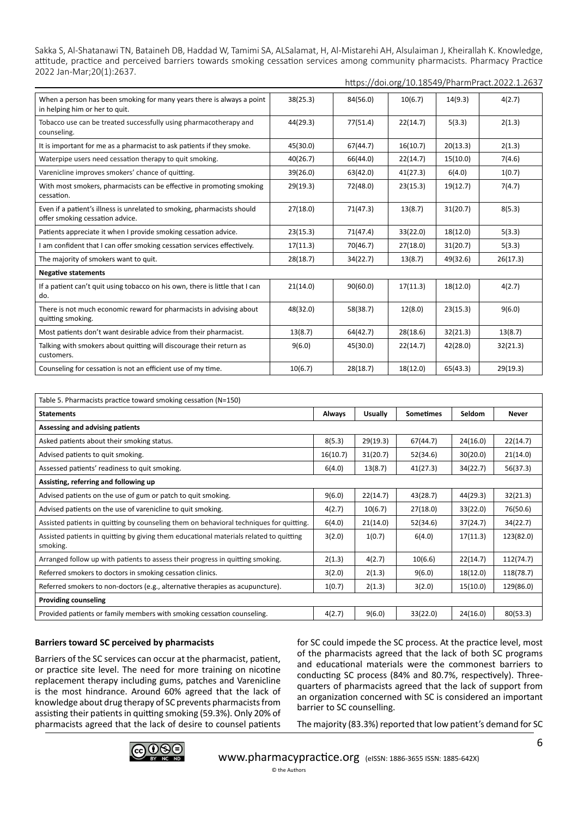https://doi.org/10.18549/PharmPract.2022.1.2637

| When a person has been smoking for many years there is always a point<br>in helping him or her to quit.    | 38(25.3) | 84(56.0) | 10(6.7)  | 14(9.3)  | 4(2.7)   |
|------------------------------------------------------------------------------------------------------------|----------|----------|----------|----------|----------|
| Tobacco use can be treated successfully using pharmacotherapy and<br>counseling.                           | 44(29.3) | 77(51.4) | 22(14.7) | 5(3.3)   | 2(1.3)   |
| It is important for me as a pharmacist to ask patients if they smoke.                                      | 45(30.0) | 67(44.7) | 16(10.7) | 20(13.3) | 2(1.3)   |
| Waterpipe users need cessation therapy to quit smoking.                                                    | 40(26.7) | 66(44.0) | 22(14.7) | 15(10.0) | 7(4.6)   |
| Varenicline improves smokers' chance of quitting.                                                          | 39(26.0) | 63(42.0) | 41(27.3) | 6(4.0)   | 1(0.7)   |
| With most smokers, pharmacists can be effective in promoting smoking<br>cessation.                         | 29(19.3) | 72(48.0) | 23(15.3) | 19(12.7) | 7(4.7)   |
| Even if a patient's illness is unrelated to smoking, pharmacists should<br>offer smoking cessation advice. | 27(18.0) | 71(47.3) | 13(8.7)  | 31(20.7) | 8(5.3)   |
| Patients appreciate it when I provide smoking cessation advice.                                            | 23(15.3) | 71(47.4) | 33(22.0) | 18(12.0) | 5(3.3)   |
| I am confident that I can offer smoking cessation services effectively.                                    | 17(11.3) | 70(46.7) | 27(18.0) | 31(20.7) | 5(3.3)   |
| The majority of smokers want to quit.                                                                      | 28(18.7) | 34(22.7) | 13(8.7)  | 49(32.6) | 26(17.3) |
| <b>Negative statements</b>                                                                                 |          |          |          |          |          |
| If a patient can't quit using tobacco on his own, there is little that I can<br>do.                        | 21(14.0) | 90(60.0) | 17(11.3) | 18(12.0) | 4(2.7)   |
| There is not much economic reward for pharmacists in advising about<br>quitting smoking.                   | 48(32.0) | 58(38.7) | 12(8.0)  | 23(15.3) | 9(6.0)   |
| Most patients don't want desirable advice from their pharmacist.                                           | 13(8.7)  | 64(42.7) | 28(18.6) | 32(21.3) | 13(8.7)  |
| Talking with smokers about quitting will discourage their return as<br>customers.                          | 9(6.0)   | 45(30.0) | 22(14.7) | 42(28.0) | 32(21.3) |
| Counseling for cessation is not an efficient use of my time.                                               | 10(6.7)  | 28(18.7) | 18(12.0) | 65(43.3) | 29(19.3) |

| Table 5. Pharmacists practice toward smoking cessation (N=150)                                     |          |          |                  |          |           |
|----------------------------------------------------------------------------------------------------|----------|----------|------------------|----------|-----------|
| <b>Statements</b>                                                                                  | Always   | Usually  | <b>Sometimes</b> | Seldom   | Never     |
| Assessing and advising patients                                                                    |          |          |                  |          |           |
| Asked patients about their smoking status.                                                         | 8(5.3)   | 29(19.3) | 67(44.7)         | 24(16.0) | 22(14.7)  |
| Advised patients to quit smoking.                                                                  | 16(10.7) | 31(20.7) | 52(34.6)         | 30(20.0) | 21(14.0)  |
| Assessed patients' readiness to quit smoking.                                                      | 6(4.0)   | 13(8.7)  | 41(27.3)         | 34(22.7) | 56(37.3)  |
| Assisting, referring and following up                                                              |          |          |                  |          |           |
| Advised patients on the use of gum or patch to quit smoking.                                       | 9(6.0)   | 22(14.7) | 43(28.7)         | 44(29.3) | 32(21.3)  |
| Advised patients on the use of varenicline to quit smoking.                                        | 4(2.7)   | 10(6.7)  | 27(18.0)         | 33(22.0) | 76(50.6)  |
| Assisted patients in quitting by counseling them on behavioral techniques for quitting.            | 6(4.0)   | 21(14.0) | 52(34.6)         | 37(24.7) | 34(22.7)  |
| Assisted patients in quitting by giving them educational materials related to quitting<br>smoking. | 3(2.0)   | 1(0.7)   | 6(4.0)           | 17(11.3) | 123(82.0) |
| Arranged follow up with patients to assess their progress in quitting smoking.                     | 2(1.3)   | 4(2.7)   | 10(6.6)          | 22(14.7) | 112(74.7) |
| Referred smokers to doctors in smoking cessation clinics.                                          | 3(2.0)   | 2(1.3)   | 9(6.0)           | 18(12.0) | 118(78.7) |
| Referred smokers to non-doctors (e.g., alternative therapies as acupuncture).                      | 1(0.7)   | 2(1.3)   | 3(2.0)           | 15(10.0) | 129(86.0) |
| <b>Providing counseling</b>                                                                        |          |          |                  |          |           |
| Provided patients or family members with smoking cessation counseling.                             | 4(2.7)   | 9(6.0)   | 33(22.0)         | 24(16.0) | 80(53.3)  |

# **Barriers toward SC perceived by pharmacists**

Barriers of the SC services can occur at the pharmacist, patient, or practice site level. The need for more training on nicotine replacement therapy including gums, patches and Varenicline is the most hindrance. Around 60% agreed that the lack of knowledge about drug therapy of SC prevents pharmacists from assisting their patients in quitting smoking (59.3%). Only 20% of pharmacists agreed that the lack of desire to counsel patients

for SC could impede the SC process. At the practice level, most of the pharmacists agreed that the lack of both SC programs and educational materials were the commonest barriers to conducting SC process (84% and 80.7%, respectively). Threequarters of pharmacists agreed that the lack of support from an organization concerned with SC is considered an important barrier to SC counselling.

The majority (83.3%) reported that low patient's demand for SC

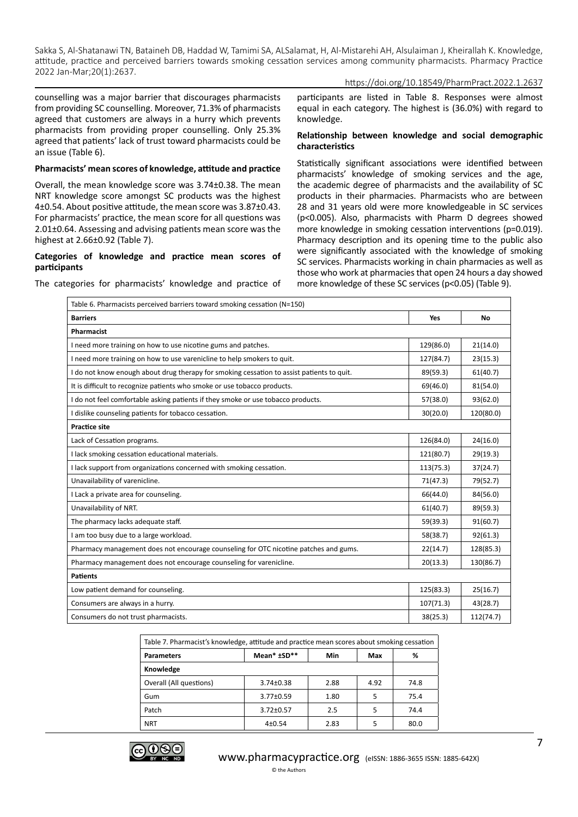https://doi.org/10.18549/PharmPract.2022.1.2637

counselling was a major barrier that discourages pharmacists from providing SC counselling. Moreover, 71.3% of pharmacists agreed that customers are always in a hurry which prevents pharmacists from providing proper counselling. Only 25.3% agreed that patients' lack of trust toward pharmacists could be an issue (Table 6).

#### **Pharmacists' mean scores of knowledge, attitude and practice**

Overall, the mean knowledge score was 3.74±0.38. The mean NRT knowledge score amongst SC products was the highest 4±0.54. About positive attitude, the mean score was 3.87±0.43. For pharmacists' practice, the mean score for all questions was 2.01±0.64. Assessing and advising patients mean score was the highest at 2.66±0.92 (Table 7).

#### **Categories of knowledge and practice mean scores of participants**

participants are listed in Table 8. Responses were almost equal in each category. The highest is (36.0%) with regard to knowledge.

#### **Relationship between knowledge and social demographic characteristics**

Statistically significant associations were identified between pharmacists' knowledge of smoking services and the age, the academic degree of pharmacists and the availability of SC products in their pharmacies. Pharmacists who are between 28 and 31 years old were more knowledgeable in SC services (p<0.005). Also, pharmacists with Pharm D degrees showed more knowledge in smoking cessation interventions (p=0.019). Pharmacy description and its opening time to the public also were significantly associated with the knowledge of smoking SC services. Pharmacists working in chain pharmacies as well as those who work at pharmacies that open 24 hours a day showed more knowledge of these SC services (p<0.05) (Table 9).

The categories for pharmacists' knowledge and practice of

| Table 6. Pharmacists perceived barriers toward smoking cessation (N=150)                  |           |           |  |  |  |
|-------------------------------------------------------------------------------------------|-----------|-----------|--|--|--|
| <b>Barriers</b>                                                                           | Yes       | No        |  |  |  |
| Pharmacist                                                                                |           |           |  |  |  |
| I need more training on how to use nicotine gums and patches.                             | 129(86.0) | 21(14.0)  |  |  |  |
| I need more training on how to use varenicline to help smokers to quit.                   | 127(84.7) | 23(15.3)  |  |  |  |
| I do not know enough about drug therapy for smoking cessation to assist patients to quit. | 89(59.3)  | 61(40.7)  |  |  |  |
| It is difficult to recognize patients who smoke or use tobacco products.                  | 69(46.0)  | 81(54.0)  |  |  |  |
| I do not feel comfortable asking patients if they smoke or use tobacco products.          | 57(38.0)  | 93(62.0)  |  |  |  |
| I dislike counseling patients for tobacco cessation.                                      | 30(20.0)  | 120(80.0) |  |  |  |
| <b>Practice site</b>                                                                      |           |           |  |  |  |
| Lack of Cessation programs.                                                               | 126(84.0) | 24(16.0)  |  |  |  |
| I lack smoking cessation educational materials.                                           | 121(80.7) | 29(19.3)  |  |  |  |
| I lack support from organizations concerned with smoking cessation.                       | 113(75.3) | 37(24.7)  |  |  |  |
| Unavailability of varenicline.                                                            | 71(47.3)  | 79(52.7)  |  |  |  |
| I Lack a private area for counseling.                                                     | 66(44.0)  | 84(56.0)  |  |  |  |
| Unavailability of NRT.                                                                    | 61(40.7)  | 89(59.3)  |  |  |  |
| The pharmacy lacks adequate staff.                                                        | 59(39.3)  | 91(60.7)  |  |  |  |
| I am too busy due to a large workload.                                                    | 58(38.7)  | 92(61.3)  |  |  |  |
| Pharmacy management does not encourage counseling for OTC nicotine patches and gums.      | 22(14.7)  | 128(85.3) |  |  |  |
| Pharmacy management does not encourage counseling for varenicline.                        | 20(13.3)  | 130(86.7) |  |  |  |
| <b>Patients</b>                                                                           |           |           |  |  |  |
| Low patient demand for counseling.                                                        | 125(83.3) | 25(16.7)  |  |  |  |
| Consumers are always in a hurry.                                                          | 107(71.3) | 43(28.7)  |  |  |  |
| Consumers do not trust pharmacists.                                                       | 38(25.3)  | 112(74.7) |  |  |  |

| Table 7. Pharmacist's knowledge, attitude and practice mean scores about smoking cessation |                 |      |      |      |  |
|--------------------------------------------------------------------------------------------|-----------------|------|------|------|--|
| <b>Parameters</b>                                                                          | Mean* ±SD**     | Min  | Max  | %    |  |
| Knowledge                                                                                  |                 |      |      |      |  |
| Overall (All questions)                                                                    | $3.74 \pm 0.38$ | 2.88 | 4.92 | 74.8 |  |
| Gum                                                                                        | $3.77 \pm 0.59$ | 1.80 | 5    | 75.4 |  |
| Patch                                                                                      | $3.72 \pm 0.57$ | 2.5  | 5    | 74.4 |  |
| <b>NRT</b>                                                                                 | 4±0.54          | 2.83 | 5    | 80.0 |  |

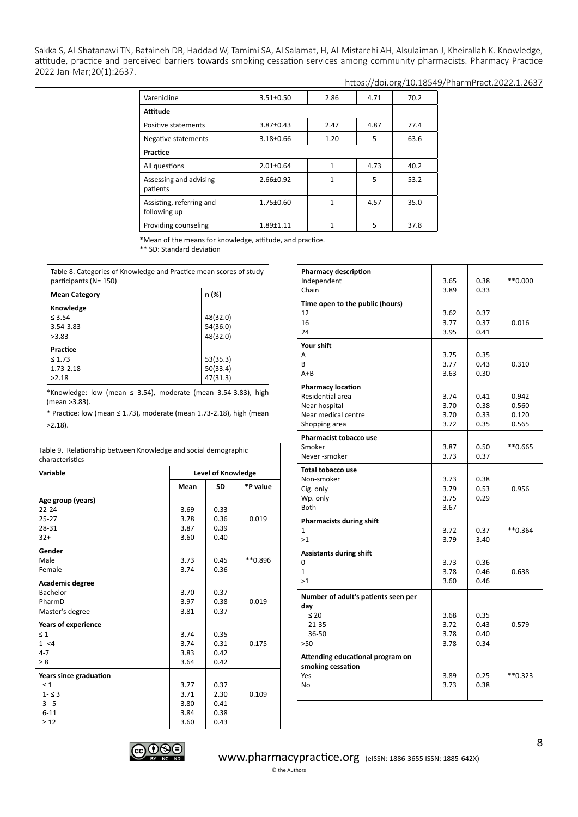## https://doi.org/10.18549/PharmPract.2022.1.2637

| Varenicline                              | $3.51 \pm 0.50$ | 2.86 | 4.71 | 70.2 |
|------------------------------------------|-----------------|------|------|------|
| <b>Attitude</b>                          |                 |      |      |      |
| Positive statements                      | $3.87 \pm 0.43$ | 2.47 | 4.87 | 77.4 |
| Negative statements                      | $3.18 \pm 0.66$ | 1.20 | 5    | 63.6 |
| Practice                                 |                 |      |      |      |
| All questions                            | $2.01 \pm 0.64$ | 1    | 4.73 | 40.2 |
| Assessing and advising<br>patients       | $2.66 \pm 0.92$ | 1    | 5    | 53.2 |
| Assisting, referring and<br>following up | $1.75 \pm 0.60$ | 1    | 4.57 | 35.0 |
| Providing counseling                     | $1.89 + 1.11$   |      | 5    | 37.8 |

\*Mean of the means for knowledge, attitude, and practice.

\*\* SD: Standard deviation

Table 8. Categories of Knowledge and Practice mean scores of study participants (N= 150)

| <b>Mean Category</b> | n (%)    |
|----------------------|----------|
| Knowledge            |          |
| $\leq$ 3.54          | 48(32.0) |
| 3.54-3.83            | 54(36.0) |
| >3.83                | 48(32.0) |
| Practice             |          |
| $\leq 1.73$          | 53(35.3) |
| 1.73-2.18            | 50(33.4) |
| >2.18                | 47(31.3) |

\*Knowledge: low (mean  $\leq$  3.54), moderate (mean 3.54-3.83), high (mean >3.83).

\* Practice: low (mean ≤ 1.73), moderate (mean 1.73-2.18), high (mean >2.18).

| Table 9. Relationship between Knowledge and social demographic<br>characteristics |      |                    |          |  |  |
|-----------------------------------------------------------------------------------|------|--------------------|----------|--|--|
| Variable                                                                          |      | Level of Knowledge |          |  |  |
|                                                                                   | Mean | <b>SD</b>          | *P value |  |  |
| Age group (years)                                                                 |      |                    |          |  |  |
| $22 - 24$                                                                         | 3.69 | 0.33               |          |  |  |
| $25 - 27$                                                                         | 3.78 | 0.36               | 0.019    |  |  |
| 28-31                                                                             | 3.87 | 0.39               |          |  |  |
| $32+$                                                                             | 3.60 | 0.40               |          |  |  |
| Gender                                                                            |      |                    |          |  |  |
| Male                                                                              | 3.73 | 0.45               | ** 0.896 |  |  |
| Female                                                                            | 3.74 | 0.36               |          |  |  |
| Academic degree                                                                   |      |                    |          |  |  |
| Bachelor                                                                          | 3.70 | 0.37               |          |  |  |
| PharmD                                                                            | 3.97 | 0.38               | 0.019    |  |  |
| Master's degree                                                                   | 3.81 | 0.37               |          |  |  |
| Years of experience                                                               |      |                    |          |  |  |
| $\leq 1$                                                                          | 3.74 | 0.35               |          |  |  |
| $1 - 54$                                                                          | 3.74 | 0.31               | 0.175    |  |  |
| $4 - 7$                                                                           | 3.83 | 0.42               |          |  |  |
| $\geq 8$                                                                          | 3.64 | 0.42               |          |  |  |
| Years since graduation                                                            |      |                    |          |  |  |
| $\leq 1$                                                                          | 3.77 | 0.37               |          |  |  |
| $1 - 53$                                                                          | 3.71 | 2.30               | 0.109    |  |  |
| $3 - 5$                                                                           | 3.80 | 0.41               |          |  |  |
| $6 - 11$                                                                          | 3.84 | 0.38               |          |  |  |
| $\geq 12$                                                                         | 3.60 | 0.43               |          |  |  |

| <b>Pharmacy description</b><br>Independent<br>Chain                                                   | 3.65<br>3.89                 | 0.38<br>0.33                 | $**0.000$                        |
|-------------------------------------------------------------------------------------------------------|------------------------------|------------------------------|----------------------------------|
| Time open to the public (hours)<br>12<br>16<br>24                                                     | 3.62<br>3.77<br>3.95         | 0.37<br>0.37<br>0.41         | 0.016                            |
| Your shift<br>A<br>R<br>$A + B$                                                                       | 3.75<br>3.77<br>3.63         | 0.35<br>0.43<br>0.30         | 0.310                            |
| <b>Pharmacy location</b><br>Residential area<br>Near hospital<br>Near medical centre<br>Shopping area | 3.74<br>3.70<br>3.70<br>3.72 | 0.41<br>0.38<br>0.33<br>0.35 | 0.942<br>0.560<br>0.120<br>0.565 |
| <b>Pharmacist tobacco use</b><br>Smoker<br>Never-smoker                                               | 3.87<br>3.73                 | 0.50<br>0.37                 | **0.665                          |
| <b>Total tobacco use</b><br>Non-smoker<br>Cig. only<br>Wp. only<br><b>Both</b>                        | 3.73<br>3.79<br>3.75<br>3.67 | 0.38<br>0.53<br>0.29         | 0.956                            |
| <b>Pharmacists during shift</b><br>1<br>>1                                                            | 3.72<br>3.79                 | 0.37<br>3.40                 | $**0.364$                        |
| <b>Assistants during shift</b><br>0<br>$\mathbf{1}$<br>>1                                             | 3.73<br>3.78<br>3.60         | 0.36<br>0.46<br>0.46         | 0.638                            |
| Number of adult's patients seen per<br>day<br>$\leq 20$<br>$21 - 35$<br>36-50<br>>50                  | 3.68<br>3.72<br>3.78<br>3.78 | 0.35<br>0.43<br>0.40<br>0.34 | 0.579                            |
| Attending educational program on<br>smoking cessation<br>Yes<br>No                                    | 3.89<br>3.73                 | 0.25<br>0.38                 | **0.323                          |

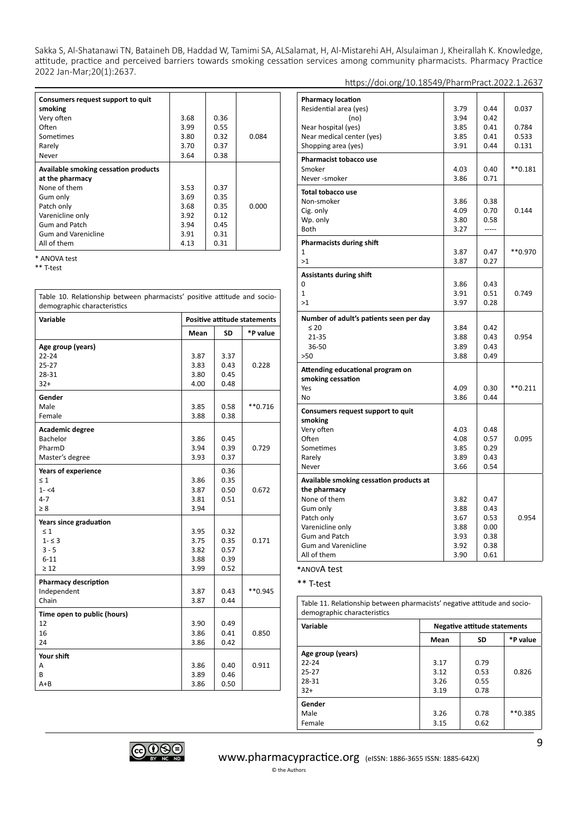| Consumers request support to quit    |      |      |       |
|--------------------------------------|------|------|-------|
| smoking                              |      |      |       |
| Very often                           | 3.68 | 0.36 |       |
| Often                                | 3.99 | 0.55 |       |
| Sometimes                            | 3.80 | 0.32 | 0.084 |
| Rarely                               | 3.70 | 0.37 |       |
| Never                                | 3.64 | 0.38 |       |
| Available smoking cessation products |      |      |       |
| at the pharmacy                      |      |      |       |
| None of them                         | 3.53 | 0.37 |       |
| Gum only                             | 3.69 | 0.35 |       |
| Patch only                           | 3.68 | 0.35 | 0.000 |
| Varenicline only                     | 3.92 | 0.12 |       |
| <b>Gum and Patch</b>                 | 3.94 | 0.45 |       |
| <b>Gum and Varenicline</b>           | 3.91 | 0.31 |       |
| All of them                          | 4.13 | 0.31 |       |

\* ANOVA test

\*\* T-test

Table 10. Relationship between pharmacists' positive attitude and sociodemographic characteristics **Variable Positive attitude statements Mean SD \*P value Age group (years)** 22-24 25-27 28-31 32+ 3.87 3.83 3.80 4.00 3.37 0.43 0.45 0.48 0.228 **Gender** Male Female 3.85 3.88 0.58 0.38 \*\*0.716 **Academic degree** Bachelor PharmD Master's degree 3.86 3.94 3.93 0.45 0.39 0.37 0.729 **Years of experience**  $\leq 1$  $1 - 4$ 4-7 ≥ 8 3.86 3.87 3.81 3.94 0.36 0.35 0.50 0.51 0.672 **Years since graduation**   $\leq 1$  1- ≤ 3 3 - 5 6-11 ≥ 12 3.95 3.75 3.82 3.88 3.99 0.32 0.35 0.57 0.39 0.52 0.171 **Pharmacy description** Independent Chain 3.87 3.87 0.43 0.44 \*\*0.945 **Time open to public (hours)** 12 16 24 3.90 3.86 3.86 0.49 0.41 0.42 0.850 **Your shift**  A B A+B 3.86 3.89 3.86 0.40 0.46 0.50 0.911

| <b>Pharmacy location</b>                |      |      |               |
|-----------------------------------------|------|------|---------------|
| Residential area (yes)                  | 3.79 | 0.44 | 0.037         |
| (no)                                    | 3.94 | 0.42 |               |
| Near hospital (yes)                     | 3.85 | 0.41 | 0.784         |
| Near medical center (yes)               | 3.85 | 0.41 | 0.533         |
| Shopping area (yes)                     | 3.91 | 0.44 | 0.131         |
|                                         |      |      |               |
| <b>Pharmacist tobacco use</b>           |      |      |               |
| Smoker                                  | 4.03 | 0.40 | $*$ $*$ 0.181 |
| Never-smoker                            | 3.86 | 0.71 |               |
| <b>Total tobacco use</b>                |      |      |               |
| Non-smoker                              | 3.86 | 0.38 |               |
| Cig. only                               | 4.09 | 0.70 | 0.144         |
| Wp. only                                | 3.80 | 0.58 |               |
| Both                                    | 3.27 |      |               |
| <b>Pharmacists during shift</b>         |      |      |               |
| 1                                       | 3.87 | 0.47 | ** 0.970      |
| >1                                      | 3.87 | 0.27 |               |
| <b>Assistants during shift</b>          |      |      |               |
| 0                                       | 3.86 | 0.43 |               |
| $\mathbf{1}$                            | 3.91 | 0.51 | 0.749         |
| >1                                      | 3.97 | 0.28 |               |
|                                         |      |      |               |
| Number of adult's patients seen per day |      |      |               |
| $\leq 20$                               | 3.84 | 0.42 |               |
| 21-35                                   | 3.88 | 0.43 | 0.954         |
| 36-50                                   | 3.89 | 0.43 |               |
| >50                                     | 3.88 | 0.49 |               |
| Attending educational program on        |      |      |               |
| smoking cessation                       |      |      |               |
| Yes                                     | 4.09 | 0.30 | $*$ *0.211    |
| No                                      | 3.86 | 0.44 |               |
| Consumers request support to quit       |      |      |               |
| smoking                                 |      |      |               |
| Very often                              | 4.03 | 0.48 |               |
| Often                                   | 4.08 | 0.57 | 0.095         |
| Sometimes                               | 3.85 | 0.29 |               |
| Rarely                                  | 3.89 | 0.43 |               |
| Never                                   | 3.66 | 0.54 |               |
| Available smoking cessation products at |      |      |               |
| the pharmacy                            |      |      |               |
| None of them                            | 3.82 | 0.47 |               |
| Gum only                                | 3.88 | 0.43 |               |
| Patch only                              | 3.67 | 0.53 | 0.954         |
| Varenicline only                        | 3.88 | 0.00 |               |
| <b>Gum and Patch</b>                    | 3.93 | 0.38 |               |
| <b>Gum and Varenicline</b>              | 3.92 | 0.38 |               |
| All of them                             | 3.90 | 0.61 |               |

https://doi.org/10.18549/PharmPract.2022.1.2637

**\***ANOVA test

\*\* T-test

Table 11. Relationship between pharmacists' negative attitude and sociodemographic characteristics

| Variable          | <b>Negative attitude statements</b> |           |          |  |  |
|-------------------|-------------------------------------|-----------|----------|--|--|
|                   | Mean                                | <b>SD</b> | *P value |  |  |
| Age group (years) |                                     |           |          |  |  |
| $22 - 24$         | 3.17                                | 0.79      |          |  |  |
| $25 - 27$         | 3.12                                | 0.53      | 0.826    |  |  |
| 28-31             | 3.26                                | 0.55      |          |  |  |
| $32+$             | 3.19                                | 0.78      |          |  |  |
| Gender            |                                     |           |          |  |  |
| Male              | 3.26                                | 0.78      | **0.385  |  |  |
| Female            | 3.15                                | 0.62      |          |  |  |

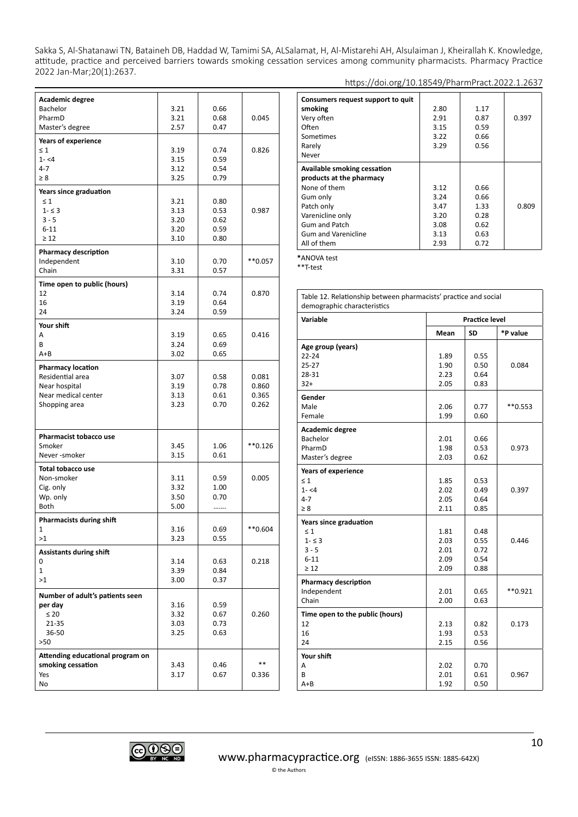| Academic degree                  |      |      |           |
|----------------------------------|------|------|-----------|
| <b>Bachelor</b>                  | 3.21 | 0.66 |           |
| PharmD                           | 3.21 | 0.68 | 0.045     |
| Master's degree                  | 2.57 | 0.47 |           |
| Years of experience              |      |      |           |
| $\leq 1$                         | 3.19 | 0.74 | 0.826     |
| $1 - 4$                          | 3.15 | 0.59 |           |
| $4 - 7$                          | 3.12 | 0.54 |           |
| $\geq 8$                         | 3.25 | 0.79 |           |
| Years since graduation           |      |      |           |
| $\leq 1$                         | 3.21 | 0.80 |           |
| $1 - 53$                         | 3.13 | 0.53 | 0.987     |
| $3 - 5$                          | 3.20 | 0.62 |           |
| $6 - 11$                         | 3.20 | 0.59 |           |
| $\geq 12$                        | 3.10 | 0.80 |           |
| <b>Pharmacy description</b>      |      |      |           |
| Independent                      | 3.10 | 0.70 | **0.057   |
| Chain                            | 3.31 | 0.57 |           |
| Time open to public (hours)      |      |      |           |
| 12                               | 3.14 | 0.74 | 0.870     |
| 16                               | 3.19 | 0.64 |           |
| 24                               | 3.24 | 0.59 |           |
| Your shift                       |      |      |           |
| A                                | 3.19 | 0.65 | 0.416     |
| B                                | 3.24 | 0.69 |           |
| A+B                              | 3.02 | 0.65 |           |
| <b>Pharmacy location</b>         |      |      |           |
| Residential area                 | 3.07 | 0.58 | 0.081     |
| Near hospital                    | 3.19 | 0.78 | 0.860     |
| Near medical center              | 3.13 | 0.61 | 0.365     |
| Shopping area                    | 3.23 | 0.70 | 0.262     |
|                                  |      |      |           |
|                                  |      |      |           |
| Pharmacist tobacco use           |      |      |           |
| Smoker                           | 3.45 | 1.06 | **0.126   |
| Never-smoker                     | 3.15 | 0.61 |           |
| Total tobacco use                |      |      |           |
| Non-smoker                       | 3.11 | 0.59 | 0.005     |
| Cig. only                        | 3.32 | 1.00 |           |
| Wp. only                         | 3.50 | 0.70 |           |
| Both                             | 5.00 | .    |           |
| Pharmacists during shift         |      |      |           |
| 1                                | 3.16 | 0.69 | $**0.604$ |
| >1                               | 3.23 | 0.55 |           |
| <b>Assistants during shift</b>   |      |      |           |
| 0                                | 3.14 | 0.63 | 0.218     |
| 1                                | 3.39 | 0.84 |           |
| >1                               | 3.00 | 0.37 |           |
| Number of adult's patients seen  |      |      |           |
| per day                          | 3.16 | 0.59 |           |
| $\leq 20$                        | 3.32 | 0.67 | 0.260     |
| 21-35                            | 3.03 | 0.73 |           |
| 36-50                            | 3.25 | 0.63 |           |
| >50                              |      |      |           |
| Attending educational program on |      |      |           |
| smoking cessation                | 3.43 | 0.46 | $* *$     |
| Yes                              | 3.17 | 0.67 | 0.336     |
| No                               |      |      |           |

| Consumers request support to quit |      |      |       |
|-----------------------------------|------|------|-------|
| smoking                           | 2.80 | 1.17 |       |
| Very often                        | 2.91 | 0.87 | 0.397 |
| Often                             | 3.15 | 0.59 |       |
| Sometimes                         | 3.22 | 0.66 |       |
| Rarely                            | 3.29 | 0.56 |       |
| Never                             |      |      |       |
|                                   |      |      |       |

| <b>Available smoking cessation</b><br>products at the pharmacy |      |      |       |
|----------------------------------------------------------------|------|------|-------|
| None of them                                                   | 3.12 | 0.66 |       |
| Gum only                                                       | 3.24 | 0.66 |       |
| Patch only                                                     | 3.47 | 1.33 | 0.809 |
| Varenicline only                                               | 3.20 | 0.28 |       |
| <b>Gum and Patch</b>                                           | 3.08 | 0.62 |       |
| <b>Gum and Varenicline</b>                                     | 3.13 | 0.63 |       |
| All of them                                                    | 2.93 | 0.72 |       |

**\***ANOVA test

\*\*T-test

| Table 12. Relationship between pharmacists' practice and social<br>demographic characteristics |                       |           |            |  |
|------------------------------------------------------------------------------------------------|-----------------------|-----------|------------|--|
| Variable                                                                                       | <b>Practice level</b> |           |            |  |
|                                                                                                | Mean                  | <b>SD</b> | *P value   |  |
| Age group (years)                                                                              |                       |           |            |  |
| $22 - 24$                                                                                      | 1.89                  | 0.55      |            |  |
| $25 - 27$                                                                                      | 1.90                  | 0.50      | 0.084      |  |
| 28-31                                                                                          | 2.23                  | 0.64      |            |  |
| $32+$                                                                                          | 2.05                  | 0.83      |            |  |
| Gender                                                                                         |                       |           |            |  |
| Male                                                                                           | 2.06                  | 0.77      | $*$ *0.553 |  |
| Female                                                                                         | 1.99                  | 0.60      |            |  |
| Academic degree                                                                                |                       |           |            |  |
| Bachelor                                                                                       | 2.01                  | 0.66      |            |  |
| PharmD                                                                                         | 1.98                  | 0.53      | 0.973      |  |
| Master's degree                                                                                | 2.03                  | 0.62      |            |  |
| <b>Years of experience</b>                                                                     |                       |           |            |  |
| $\leq 1$                                                                                       | 1.85                  | 0.53      |            |  |
| $1 - 54$                                                                                       | 2.02                  | 0.49      | 0.397      |  |
| $4 - 7$                                                                                        | 2.05                  | 0.64      |            |  |
| $\geq 8$                                                                                       | 2.11                  | 0.85      |            |  |
| Years since graduation                                                                         |                       |           |            |  |
| $\leq 1$                                                                                       | 1.81                  | 0.48      |            |  |
| $1 - 53$                                                                                       | 2.03                  | 0.55      | 0.446      |  |
| $3 - 5$                                                                                        | 2.01                  | 0.72      |            |  |
| $6 - 11$                                                                                       | 2.09                  | 0.54      |            |  |
| $\geq 12$                                                                                      | 2.09                  | 0.88      |            |  |
| <b>Pharmacy description</b>                                                                    |                       |           |            |  |
| Independent                                                                                    | 2.01                  | 0.65      | $*$ *0.921 |  |
| Chain                                                                                          | 2.00                  | 0.63      |            |  |
| Time open to the public (hours)                                                                |                       |           |            |  |
| 12                                                                                             | 2.13                  | 0.82      | 0.173      |  |
| 16                                                                                             | 1.93                  | 0.53      |            |  |
| 24                                                                                             | 2.15                  | 0.56      |            |  |
| Your shift                                                                                     |                       |           |            |  |
| A                                                                                              | 2.02                  | 0.70      |            |  |
| B                                                                                              | 2.01                  | 0.61      | 0.967      |  |
| $A + B$                                                                                        | 1.92                  | 0.50      |            |  |

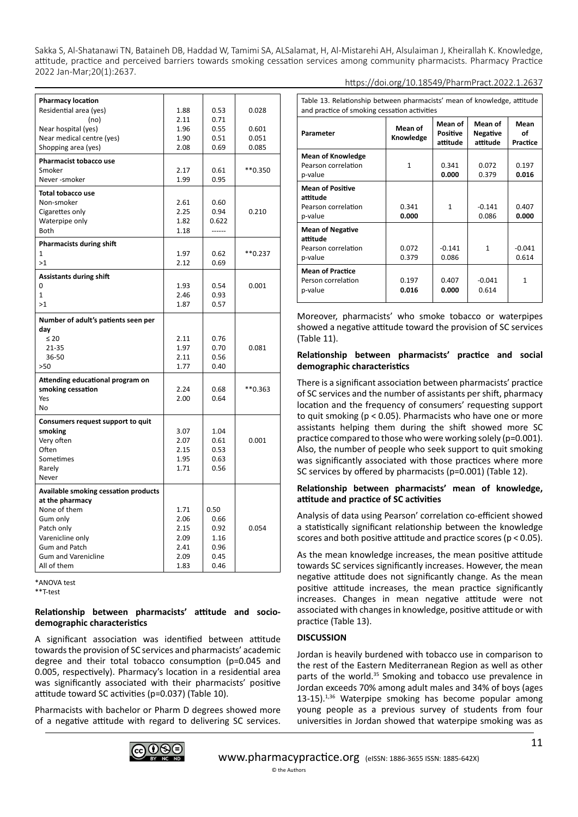| <b>Pharmacy location</b>                    |      |        |            |
|---------------------------------------------|------|--------|------------|
| Residential area (yes)                      | 1.88 | 0.53   | 0.028      |
| (no)                                        | 2.11 | 0.71   |            |
| Near hospital (yes)                         | 1.96 | 0.55   | 0.601      |
| Near medical centre (yes)                   | 1.90 | 0.51   | 0.051      |
| Shopping area (yes)                         | 2.08 | 0.69   | 0.085      |
|                                             |      |        |            |
| <b>Pharmacist tobacco use</b>               |      |        |            |
| Smoker                                      | 2.17 | 0.61   | ** 0.350   |
| Never-smoker                                | 1.99 | 0.95   |            |
| <b>Total tobacco use</b>                    |      |        |            |
| Non-smoker                                  | 2.61 | 0.60   |            |
| Cigarettes only                             | 2.25 | 0.94   | 0.210      |
| Waterpipe only                              | 1.82 | 0.622  |            |
| Both                                        | 1.18 | ------ |            |
| Pharmacists during shift                    |      |        |            |
| $\mathbf{1}$                                | 1.97 | 0.62   | $*$ *0.237 |
| >1                                          | 2.12 | 0.69   |            |
|                                             |      |        |            |
| <b>Assistants during shift</b>              |      |        |            |
| 0                                           | 1.93 | 0.54   | 0.001      |
| $\mathbf{1}$                                | 2.46 | 0.93   |            |
| >1                                          | 1.87 | 0.57   |            |
| Number of adult's patients seen per         |      |        |            |
| day                                         |      |        |            |
| $\leq 20$                                   | 2.11 | 0.76   |            |
| $21 - 35$                                   | 1.97 | 0.70   | 0.081      |
| 36-50                                       | 2.11 | 0.56   |            |
| >50                                         | 1.77 | 0.40   |            |
|                                             |      |        |            |
| Attending educational program on            |      |        |            |
| smoking cessation                           | 2.24 | 0.68   | $*$ *0.363 |
| Yes                                         | 2.00 | 0.64   |            |
| No                                          |      |        |            |
| Consumers request support to quit           |      |        |            |
| smoking                                     | 3.07 | 1.04   |            |
| Very often                                  | 2.07 | 0.61   | 0.001      |
| Often                                       | 2.15 | 0.53   |            |
| Sometimes                                   | 1.95 | 0.63   |            |
| Rarely                                      | 1.71 | 0.56   |            |
| Never                                       |      |        |            |
| <b>Available smoking cessation products</b> |      |        |            |
| at the pharmacy                             |      |        |            |
| None of them                                | 1.71 | 0.50   |            |
| Gum only                                    | 2.06 | 0.66   |            |
| Patch only                                  | 2.15 | 0.92   | 0.054      |
| Varenicline only                            | 2.09 | 1.16   |            |
| <b>Gum and Patch</b>                        | 2.41 | 0.96   |            |
| <b>Gum and Varenicline</b>                  | 2.09 | 0.45   |            |
| All of them                                 | 1.83 | 0.46   |            |
|                                             |      |        |            |

\*ANOVA test

\*\*T-test

# **Relationship between pharmacists' attitude and sociodemographic characteristics**

A significant association was identified between attitude towards the provision of SC services and pharmacists' academic degree and their total tobacco consumption (p=0.045 and 0.005, respectively). Pharmacy's location in a residential area was significantly associated with their pharmacists' positive attitude toward SC activities (p=0.037) (Table 10).

Pharmacists with bachelor or Pharm D degrees showed more of a negative attitude with regard to delivering SC services.



| Table 13. Relationship between pharmacists' mean of knowledge, attitude<br>and practice of smoking cessation activities |                      |                                        |                                        |                        |  |
|-------------------------------------------------------------------------------------------------------------------------|----------------------|----------------------------------------|----------------------------------------|------------------------|--|
| Parameter                                                                                                               | Mean of<br>Knowledge | Mean of<br><b>Positive</b><br>attitude | Mean of<br><b>Negative</b><br>attitude | Mean<br>οf<br>Practice |  |
| <b>Mean of Knowledge</b><br>Pearson correlation<br>p-value                                                              | 1                    | 0.341<br>0.000                         | 0.072<br>0.379                         | 0.197<br>0.016         |  |
| <b>Mean of Positive</b><br>attitude<br>Pearson correlation<br>p-value                                                   | 0.341<br>0.000       | $\mathbf{1}$                           | $-0.141$<br>0.086                      | 0.407<br>0.000         |  |
| <b>Mean of Negative</b><br>attitude<br>Pearson correlation<br>p-value                                                   | 0.072<br>0.379       | $-0.141$<br>0.086                      | 1                                      | $-0.041$<br>0.614      |  |
| <b>Mean of Practice</b><br>Person correlation<br>p-value                                                                | 0.197<br>0.016       | 0.407<br>0.000                         | $-0.041$<br>0.614                      | 1                      |  |

Moreover, pharmacists' who smoke tobacco or waterpipes showed a negative attitude toward the provision of SC services (Table 11).

# **Relationship between pharmacists' practice and social demographic characteristics**

There is a significant association between pharmacists' practice of SC services and the number of assistants per shift, pharmacy location and the frequency of consumers' requesting support to quit smoking (p < 0.05). Pharmacists who have one or more assistants helping them during the shift showed more SC practice compared to those who were working solely (p=0.001). Also, the number of people who seek support to quit smoking was significantly associated with those practices where more SC services by offered by pharmacists (p=0.001) (Table 12).

# **Relationship between pharmacists' mean of knowledge, attitude and practice of SC activities**

Analysis of data using Pearson' correlation co-efficient showed a statistically significant relationship between the knowledge scores and both positive attitude and practice scores (p < 0.05).

As the mean knowledge increases, the mean positive attitude towards SC services significantly increases. However, the mean negative attitude does not significantly change. As the mean positive attitude increases, the mean practice significantly increases. Changes in mean negative attitude were not associated with changes in knowledge, positive attitude or with practice (Table 13).

# **DISCUSSION**

Jordan is heavily burdened with tobacco use in comparison to the rest of the Eastern Mediterranean Region as well as other parts of the world.<sup>35</sup> Smoking and tobacco use prevalence in Jordan exceeds 70% among adult males and 34% of boys (ages 13-15).1,36 Waterpipe smoking has become popular among young people as a previous survey of students from four universities in Jordan showed that waterpipe smoking was as

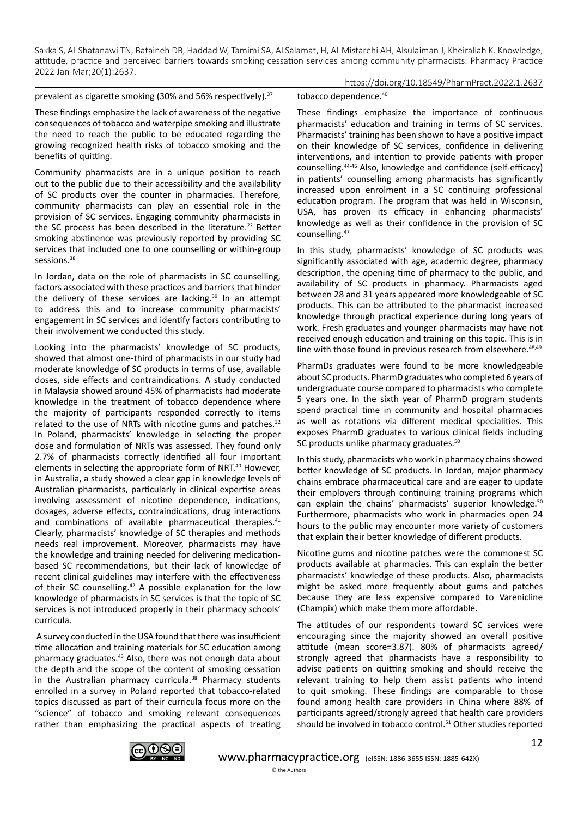prevalent as cigarette smoking (30% and 56% respectively).<sup>37</sup>

https://doi.org/10.18549/PharmPract.2022.1.2637

These findings emphasize the lack of awareness of the negative consequences of tobacco and waterpipe smoking and illustrate the need to reach the public to be educated regarding the growing recognized health risks of tobacco smoking and the benefits of quitting.

Community pharmacists are in a unique position to reach out to the public due to their accessibility and the availability of SC products over the counter in pharmacies. Therefore, community pharmacists can play an essential role in the provision of SC services. Engaging community pharmacists in the SC process has been described in the literature.<sup>22</sup> Better smoking abstinence was previously reported by providing SC services that included one to one counselling or within-group sessions.<sup>38</sup>

In Jordan, data on the role of pharmacists in SC counselling, factors associated with these practices and barriers that hinder the delivery of these services are lacking. $39$  In an attempt to address this and to increase community pharmacists' engagement in SC services and identify factors contributing to their involvement we conducted this study.

Looking into the pharmacists' knowledge of SC products, showed that almost one-third of pharmacists in our study had moderate knowledge of SC products in terms of use, available doses, side effects and contraindications. A study conducted in Malaysia showed around 45% of pharmacists had moderate knowledge in the treatment of tobacco dependence where the majority of participants responded correctly to items related to the use of NRTs with nicotine gums and patches.<sup>32</sup> In Poland, pharmacists' knowledge in selecting the proper dose and formulation of NRTs was assessed. They found only 2.7% of pharmacists correctly identified all four important elements in selecting the appropriate form of NRT.<sup>40</sup> However, in Australia, a study showed a clear gap in knowledge levels of Australian pharmacists, particularly in clinical expertise areas involving assessment of nicotine dependence, indications, dosages, adverse effects, contraindications, drug interactions and combinations of available pharmaceutical therapies.<sup>41</sup> Clearly, pharmacists' knowledge of SC therapies and methods needs real improvement. Moreover, pharmacists may have the knowledge and training needed for delivering medicationbased SC recommendations, but their lack of knowledge of recent clinical guidelines may interfere with the effectiveness of their SC counselling.<sup>42</sup> A possible explanation for the low knowledge of pharmacists in SC services is that the topic of SC services is not introduced properly in their pharmacy schools' curricula.

 A survey conducted in the USA found that there was insufficient time allocation and training materials for SC education among pharmacy graduates.43 Also, there was not enough data about the depth and the scope of the content of smoking cessation in the Australian pharmacy curricula. $38$  Pharmacy students enrolled in a survey in Poland reported that tobacco-related topics discussed as part of their curricula focus more on the "science" of tobacco and smoking relevant consequences rather than emphasizing the practical aspects of treating tobacco dependence.<sup>40</sup>

These findings emphasize the importance of continuous pharmacists' education and training in terms of SC services. Pharmacists' training has been shown to have a positive impact on their knowledge of SC services, confidence in delivering interventions, and intention to provide patients with proper counselling.44-46 Also, knowledge and confidence (self-efficacy) in patients' counselling among pharmacists has significantly increased upon enrolment in a SC continuing professional education program. The program that was held in Wisconsin, USA, has proven its efficacy in enhancing pharmacists' knowledge as well as their confidence in the provision of SC counselling.47

In this study, pharmacists' knowledge of SC products was significantly associated with age, academic degree, pharmacy description, the opening time of pharmacy to the public, and availability of SC products in pharmacy. Pharmacists aged between 28 and 31 years appeared more knowledgeable of SC products. This can be attributed to the pharmacist increased knowledge through practical experience during long years of work. Fresh graduates and younger pharmacists may have not received enough education and training on this topic. This is in line with those found in previous research from elsewhere.<sup>48,49</sup>

PharmDs graduates were found to be more knowledgeable about SC products. PharmD graduates who completed 6 years of undergraduate course compared to pharmacists who complete 5 years one. In the sixth year of PharmD program students spend practical time in community and hospital pharmacies as well as rotations via different medical specialities. This exposes PharmD graduates to various clinical fields including SC products unlike pharmacy graduates.<sup>50</sup>

In this study, pharmacists who work in pharmacy chains showed better knowledge of SC products. In Jordan, major pharmacy chains embrace pharmaceutical care and are eager to update their employers through continuing training programs which can explain the chains' pharmacists' superior knowledge.<sup>50</sup> Furthermore, pharmacists who work in pharmacies open 24 hours to the public may encounter more variety of customers that explain their better knowledge of different products.

Nicotine gums and nicotine patches were the commonest SC products available at pharmacies. This can explain the better pharmacists' knowledge of these products. Also, pharmacists might be asked more frequently about gums and patches because they are less expensive compared to Varenicline (Champix) which make them more affordable.

The attitudes of our respondents toward SC services were encouraging since the majority showed an overall positive attitude (mean score=3.87). 80% of pharmacists agreed/ strongly agreed that pharmacists have a responsibility to advise patients on quitting smoking and should receive the relevant training to help them assist patients who intend to quit smoking. These findings are comparable to those found among health care providers in China where 88% of participants agreed/strongly agreed that health care providers should be involved in tobacco control.<sup>51</sup> Other studies reported

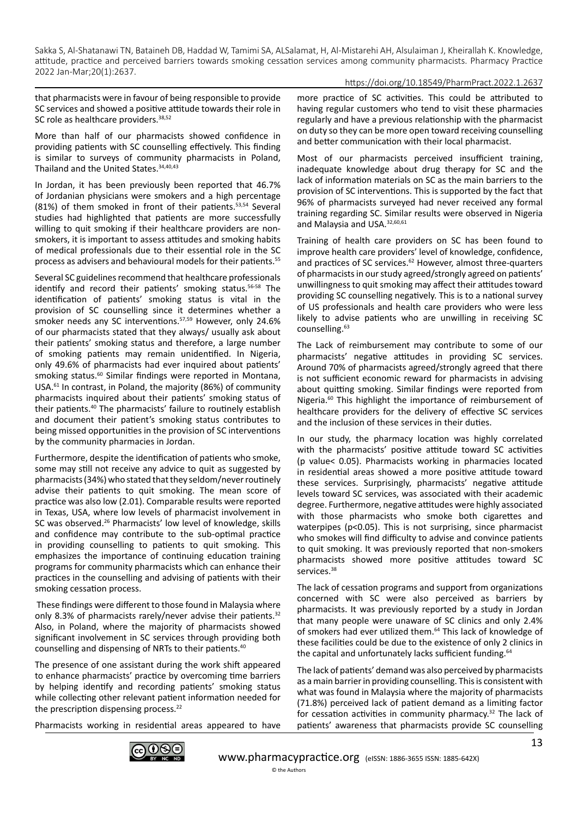#### https://doi.org/10.18549/PharmPract.2022.1.2637

that pharmacists were in favour of being responsible to provide SC services and showed a positive attitude towards their role in SC role as healthcare providers. 38,52

More than half of our pharmacists showed confidence in providing patients with SC counselling effectively. This finding is similar to surveys of community pharmacists in Poland, Thailand and the United States. 34,40,43

In Jordan, it has been previously been reported that 46.7% of Jordanian physicians were smokers and a high percentage (81%) of them smoked in front of their patients.<sup>53,54</sup> Several studies had highlighted that patients are more successfully willing to quit smoking if their healthcare providers are nonsmokers, it is important to assess attitudes and smoking habits of medical professionals due to their essential role in the SC process as advisers and behavioural models for their patients.55

Several SC guidelines recommend that healthcare professionals identify and record their patients' smoking status.<sup>56-58</sup> The identification of patients' smoking status is vital in the provision of SC counselling since it determines whether a smoker needs any SC interventions.57,59 However, only 24.6% of our pharmacists stated that they always/ usually ask about their patients' smoking status and therefore, a large number of smoking patients may remain unidentified. In Nigeria, only 49.6% of pharmacists had ever inquired about patients' smoking status.<sup>60</sup> Similar findings were reported in Montana, USA.<sup>61</sup> In contrast, in Poland, the majority (86%) of community pharmacists inquired about their patients' smoking status of their patients.40 The pharmacists' failure to routinely establish and document their patient's smoking status contributes to being missed opportunities in the provision of SC interventions by the community pharmacies in Jordan.

Furthermore, despite the identification of patients who smoke, some may still not receive any advice to quit as suggested by pharmacists (34%) who stated that they seldom/never routinely advise their patients to quit smoking. The mean score of practice was also low (2.01). Comparable results were reported in Texas, USA, where low levels of pharmacist involvement in SC was observed.26 Pharmacists' low level of knowledge, skills and confidence may contribute to the sub-optimal practice in providing counselling to patients to quit smoking. This emphasizes the importance of continuing education training programs for community pharmacists which can enhance their practices in the counselling and advising of patients with their smoking cessation process.

 These findings were different to those found in Malaysia where only 8.3% of pharmacists rarely/never advise their patients.<sup>32</sup> Also, in Poland, where the majority of pharmacists showed significant involvement in SC services through providing both counselling and dispensing of NRTs to their patients.40

The presence of one assistant during the work shift appeared to enhance pharmacists' practice by overcoming time barriers by helping identify and recording patients' smoking status while collecting other relevant patient information needed for the prescription dispensing process.<sup>22</sup>

Pharmacists working in residential areas appeared to have



Most of our pharmacists perceived insufficient training, inadequate knowledge about drug therapy for SC and the lack of information materials on SC as the main barriers to the provision of SC interventions. This is supported by the fact that 96% of pharmacists surveyed had never received any formal training regarding SC. Similar results were observed in Nigeria and Malaysia and USA.<sup>32,60,61</sup>

Training of health care providers on SC has been found to improve health care providers' level of knowledge, confidence, and practices of SC services.<sup>62</sup> However, almost three-quarters of pharmacists in our study agreed/strongly agreed on patients' unwillingness to quit smoking may affect their attitudes toward providing SC counselling negatively. This is to a national survey of US professionals and health care providers who were less likely to advise patients who are unwilling in receiving SC counselling.<sup>63</sup>

The Lack of reimbursement may contribute to some of our pharmacists' negative attitudes in providing SC services. Around 70% of pharmacists agreed/strongly agreed that there is not sufficient economic reward for pharmacists in advising about quitting smoking. Similar findings were reported from Nigeria.<sup>60</sup> This highlight the importance of reimbursement of healthcare providers for the delivery of effective SC services and the inclusion of these services in their duties.

In our study, the pharmacy location was highly correlated with the pharmacists' positive attitude toward SC activities (p value< 0.05). Pharmacists working in pharmacies located in residential areas showed a more positive attitude toward these services. Surprisingly, pharmacists' negative attitude levels toward SC services, was associated with their academic degree. Furthermore, negative attitudes were highly associated with those pharmacists who smoke both cigarettes and waterpipes (p<0.05). This is not surprising, since pharmacist who smokes will find difficulty to advise and convince patients to quit smoking. It was previously reported that non-smokers pharmacists showed more positive attitudes toward SC services.<sup>38</sup>

The lack of cessation programs and support from organizations concerned with SC were also perceived as barriers by pharmacists. It was previously reported by a study in Jordan that many people were unaware of SC clinics and only 2.4% of smokers had ever utilized them.<sup>64</sup> This lack of knowledge of these facilities could be due to the existence of only 2 clinics in the capital and unfortunately lacks sufficient funding.<sup>64</sup>

The lack of patients' demand was also perceived by pharmacists as a main barrier in providing counselling. This is consistent with what was found in Malaysia where the majority of pharmacists (71.8%) perceived lack of patient demand as a limiting factor for cessation activities in community pharmacy.32 The lack of patients' awareness that pharmacists provide SC counselling

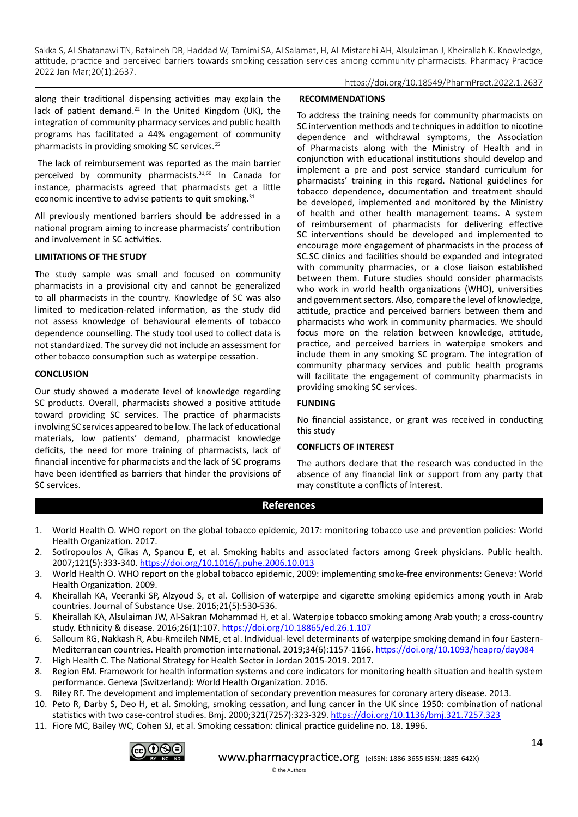https://doi.org/10.18549/PharmPract.2022.1.2637

along their traditional dispensing activities may explain the lack of patient demand.<sup>22</sup> In the United Kingdom (UK), the integration of community pharmacy services and public health programs has facilitated a 44% engagement of community pharmacists in providing smoking SC services.<sup>65</sup>

 The lack of reimbursement was reported as the main barrier perceived by community pharmacists.31,60 In Canada for instance, pharmacists agreed that pharmacists get a little economic incentive to advise patients to quit smoking. $31$ 

All previously mentioned barriers should be addressed in a national program aiming to increase pharmacists' contribution and involvement in SC activities.

# **LIMITATIONS OF THE STUDY**

The study sample was small and focused on community pharmacists in a provisional city and cannot be generalized to all pharmacists in the country. Knowledge of SC was also limited to medication-related information, as the study did not assess knowledge of behavioural elements of tobacco dependence counselling. The study tool used to collect data is not standardized. The survey did not include an assessment for other tobacco consumption such as waterpipe cessation.

# **CONCLUSION**

Our study showed a moderate level of knowledge regarding SC products. Overall, pharmacists showed a positive attitude toward providing SC services. The practice of pharmacists involving SC services appeared to be low. The lack of educational materials, low patients' demand, pharmacist knowledge deficits, the need for more training of pharmacists, lack of financial incentive for pharmacists and the lack of SC programs have been identified as barriers that hinder the provisions of SC services.

# **RECOMMENDATIONS**

To address the training needs for community pharmacists on SC intervention methods and techniques in addition to nicotine dependence and withdrawal symptoms, the Association of Pharmacists along with the Ministry of Health and in conjunction with educational institutions should develop and implement a pre and post service standard curriculum for pharmacists' training in this regard. National guidelines for tobacco dependence, documentation and treatment should be developed, implemented and monitored by the Ministry of health and other health management teams. A system of reimbursement of pharmacists for delivering effective SC interventions should be developed and implemented to encourage more engagement of pharmacists in the process of SC.SC clinics and facilities should be expanded and integrated with community pharmacies, or a close liaison established between them. Future studies should consider pharmacists who work in world health organizations (WHO), universities and government sectors. Also, compare the level of knowledge, attitude, practice and perceived barriers between them and pharmacists who work in community pharmacies. We should focus more on the relation between knowledge, attitude, practice, and perceived barriers in waterpipe smokers and include them in any smoking SC program. The integration of community pharmacy services and public health programs will facilitate the engagement of community pharmacists in providing smoking SC services.

# **FUNDING**

No financial assistance, or grant was received in conducting this study

# **CONFLICTS OF INTEREST**

The authors declare that the research was conducted in the absence of any financial link or support from any party that may constitute a conflicts of interest.

# **References**

- 1. World Health O. WHO report on the global tobacco epidemic, 2017: monitoring tobacco use and prevention policies: World Health Organization. 2017.
- 2. Sotiropoulos A, Gikas A, Spanou E, et al. Smoking habits and associated factors among Greek physicians. Public health. 2007;121(5):333-340.<https://doi.org/10.1016/j.puhe.2006.10.013>
- 3. World Health O. WHO report on the global tobacco epidemic, 2009: implementing smoke-free environments: Geneva: World Health Organization. 2009.
- 4. Kheirallah KA, Veeranki SP, Alzyoud S, et al. Collision of waterpipe and cigarette smoking epidemics among youth in Arab countries. Journal of Substance Use. 2016;21(5):530-536.
- 5. Kheirallah KA, Alsulaiman JW, Al-Sakran Mohammad H, et al. Waterpipe tobacco smoking among Arab youth; a cross-country study. Ethnicity & disease. 2016;26(1):107. <https://doi.org/10.18865/ed.26.1.107>
- 6. Salloum RG, Nakkash R, Abu-Rmeileh NME, et al. Individual-level determinants of waterpipe smoking demand in four Eastern-Mediterranean countries. Health promotion international. 2019;34(6):1157-1166.<https://doi.org/10.1093/heapro/day084> 7. High Health C. The National Strategy for Health Sector in Jordan 2015-2019. 2017.
- 8. Region EM. Framework for health information systems and core indicators for monitoring health situation and health system performance. Geneva (Switzerland): World Health Organization. 2016.
- 9. Riley RF. The development and implementation of secondary prevention measures for coronary artery disease. 2013.
- 10. Peto R, Darby S, Deo H, et al. Smoking, smoking cessation, and lung cancer in the UK since 1950: combination of national statistics with two case-control studies. Bmj. 2000;321(7257):323-329. <https://doi.org/10.1136/bmj.321.7257.323>
- 11. Fiore MC, Bailey WC, Cohen SJ, et al. Smoking cessation: clinical practice guideline no. 18. 1996.



<sup>©</sup> the Authors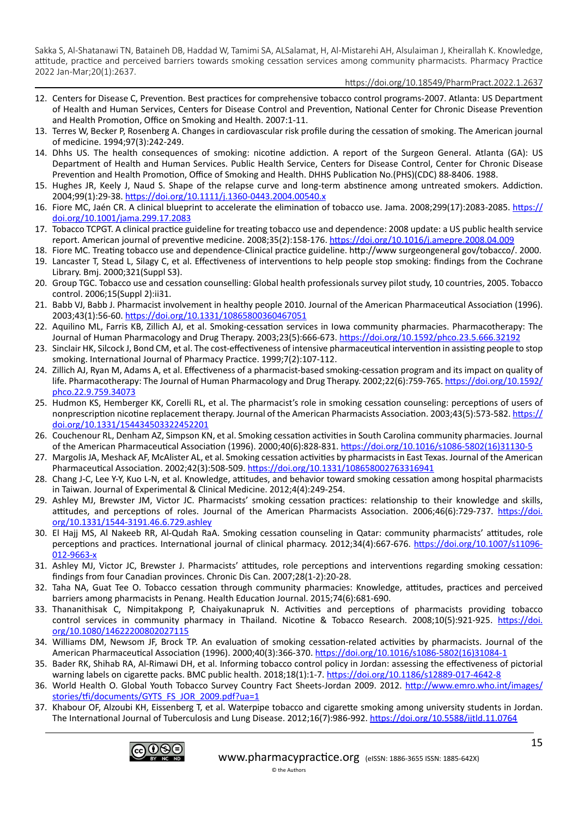## https://doi.org/10.18549/PharmPract.2022.1.2637

- 12. Centers for Disease C, Prevention. Best practices for comprehensive tobacco control programs-2007. Atlanta: US Department of Health and Human Services, Centers for Disease Control and Prevention, National Center for Chronic Disease Prevention and Health Promotion, Office on Smoking and Health. 2007:1-11.
- 13. Terres W, Becker P, Rosenberg A. Changes in cardiovascular risk profile during the cessation of smoking. The American journal of medicine. 1994;97(3):242-249.
- 14. Dhhs US. The health consequences of smoking: nicotine addiction. A report of the Surgeon General. Atlanta (GA): US Department of Health and Human Services. Public Health Service, Centers for Disease Control, Center for Chronic Disease Prevention and Health Promotion, Office of Smoking and Health. DHHS Publication No.(PHS)(CDC) 88-8406. 1988.
- 15. Hughes JR, Keely J, Naud S. Shape of the relapse curve and long‐term abstinence among untreated smokers. Addiction. 2004;99(1):29-38.<https://doi.org/10.1111/j.1360-0443.2004.00540.x>
- 16. Fiore MC, Jaén CR. A clinical blueprint to accelerate the elimination of tobacco use. Jama. 2008;299(17):2083-2085. [https://](https://doi.org/10.1001/jama.299.17.2083) [doi.org/10.1001/jama.299.17.2083](https://doi.org/10.1001/jama.299.17.2083)
- 17. Tobacco TCPGT. A clinical practice guideline for treating tobacco use and dependence: 2008 update: a US public health service report. American journal of preventive medicine. 2008;35(2):158-176. <https://doi.org/10.1016/j.amepre.2008.04.009>
- 18. Fiore MC. Treating tobacco use and dependence-Clinical practice guideline. http://www surgeongeneral gov/tobacco/. 2000.
- 19. Lancaster T, Stead L, Silagy C, et al. Effectiveness of interventions to help people stop smoking: findings from the Cochrane Library. Bmj. 2000;321(Suppl S3).
- 20. Group TGC. Tobacco use and cessation counselling: Global health professionals survey pilot study, 10 countries, 2005. Tobacco control. 2006;15(Suppl 2):ii31.
- 21. Babb VJ, Babb J. Pharmacist involvement in healthy people 2010. Journal of the American Pharmaceutical Association (1996). 2003;43(1):56-60.<https://doi.org/10.1331/10865800360467051>
- 22. Aquilino ML, Farris KB, Zillich AJ, et al. Smoking‐cessation services in Iowa community pharmacies. Pharmacotherapy: The Journal of Human Pharmacology and Drug Therapy. 2003;23(5):666-673. <https://doi.org/10.1592/phco.23.5.666.32192>
- 23. Sinclair HK, Silcock J, Bond CM, et al. The cost-effectiveness of intensive pharmaceutical intervention in assisting people to stop smoking. International Journal of Pharmacy Practice. 1999;7(2):107-112.
- 24. Zillich AJ, Ryan M, Adams A, et al. Effectiveness of a pharmacist‐based smoking‐cessation program and its impact on quality of life. Pharmacotherapy: The Journal of Human Pharmacology and Drug Therapy. 2002;22(6):759-765. [https://doi.org/10.1592/](https://doi.org/10.1592/phco.22.9.759.34073) [phco.22.9.759.34073](https://doi.org/10.1592/phco.22.9.759.34073)
- 25. Hudmon KS, Hemberger KK, Corelli RL, et al. The pharmacist's role in smoking cessation counseling: perceptions of users of nonprescription nicotine replacement therapy. Journal of the American Pharmacists Association. 2003;43(5):573-582. [https://](https://doi.org/10.1331/154434503322452201) [doi.org/10.1331/154434503322452201](https://doi.org/10.1331/154434503322452201)
- 26. Couchenour RL, Denham AZ, Simpson KN, et al. Smoking cessation activities in South Carolina community pharmacies. Journal of the American Pharmaceutical Association (1996). 2000;40(6):828-831. [https://doi.org/10.1016/s1086-5802\(16\)31130-5](https://doi.org/10.1016/s1086-5802(16)31130-5)
- 27. Margolis JA, Meshack AF, McAlister AL, et al. Smoking cessation activities by pharmacists in East Texas. Journal of the American Pharmaceutical Association. 2002;42(3):508-509.<https://doi.org/10.1331/108658002763316941>
- 28. Chang J-C, Lee Y-Y, Kuo L-N, et al. Knowledge, attitudes, and behavior toward smoking cessation among hospital pharmacists in Taiwan. Journal of Experimental & Clinical Medicine. 2012;4(4):249-254.
- 29. Ashley MJ, Brewster JM, Victor JC. Pharmacists' smoking cessation practices: relationship to their knowledge and skills, attitudes, and perceptions of roles. Journal of the American Pharmacists Association. 2006;46(6):729-737. [https://doi.](https://doi.org/10.1331/1544-3191.46.6.729.ashley) [org/10.1331/1544-3191.46.6.729.ashley](https://doi.org/10.1331/1544-3191.46.6.729.ashley)
- 30. El Hajj MS, Al Nakeeb RR, Al-Qudah RaA. Smoking cessation counseling in Qatar: community pharmacists' attitudes, role perceptions and practices. International journal of clinical pharmacy. 2012;34(4):667-676. [https://doi.org/10.1007/s11096-](https://doi.org/10.1007/s11096-012-9663-x) [012-9663-x](https://doi.org/10.1007/s11096-012-9663-x)
- 31. Ashley MJ, Victor JC, Brewster J. Pharmacists' attitudes, role perceptions and interventions regarding smoking cessation: findings from four Canadian provinces. Chronic Dis Can. 2007;28(1-2):20-28.
- 32. Taha NA, Guat Tee O. Tobacco cessation through community pharmacies: Knowledge, attitudes, practices and perceived barriers among pharmacists in Penang. Health Education Journal. 2015;74(6):681-690.
- 33. Thananithisak C, Nimpitakpong P, Chaiyakunapruk N. Activities and perceptions of pharmacists providing tobacco control services in community pharmacy in Thailand. Nicotine & Tobacco Research. 2008;10(5):921-925. [https://doi.](https://doi.org/10.1080/14622200802027115) [org/10.1080/14622200802027115](https://doi.org/10.1080/14622200802027115)
- 34. Williams DM, Newsom JF, Brock TP. An evaluation of smoking cessation-related activities by pharmacists. Journal of the American Pharmaceutical Association (1996). 2000;40(3):366-370. [https://doi.org/10.1016/s1086-5802\(16\)31084-1](https://doi.org/10.1016/s1086-5802(16)31084-1)
- 35. Bader RK, Shihab RA, Al-Rimawi DH, et al. Informing tobacco control policy in Jordan: assessing the effectiveness of pictorial warning labels on cigarette packs. BMC public health. 2018;18(1):1-7. <https://doi.org/10.1186/s12889-017-4642-8>
- 36. World Health O. Global Youth Tobacco Survey Country Fact Sheets-Jordan 2009. 2012. [http://www.emro.who.int/images/](http://www.emro.who.int/images/stories/tfi/documents/GYTS_FS_JOR_2009.pdf?ua=1) [stories/tfi/documents/GYTS\\_FS\\_JOR\\_2009.pdf?ua=1](http://www.emro.who.int/images/stories/tfi/documents/GYTS_FS_JOR_2009.pdf?ua=1)
- 37. Khabour OF, Alzoubi KH, Eissenberg T, et al. Waterpipe tobacco and cigarette smoking among university students in Jordan. The International Journal of Tuberculosis and Lung Disease. 2012;16(7):986-992.<https://doi.org/10.5588/ijtld.11.0764>

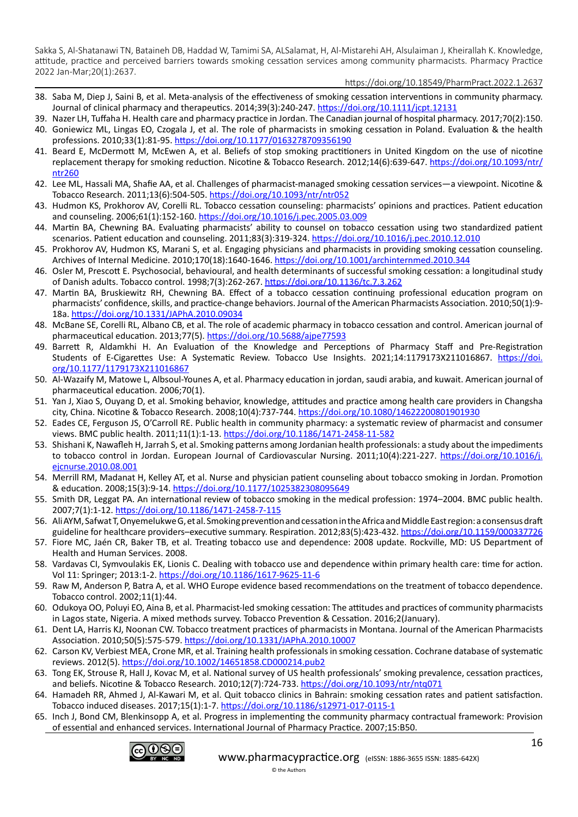https://doi.org/10.18549/PharmPract.2022.1.2637

- 38. Saba M, Diep J, Saini B, et al. Meta‐analysis of the effectiveness of smoking cessation interventions in community pharmacy. Journal of clinical pharmacy and therapeutics. 2014;39(3):240-247.<https://doi.org/10.1111/jcpt.12131>
- 39. Nazer LH, Tuffaha H. Health care and pharmacy practice in Jordan. The Canadian journal of hospital pharmacy. 2017;70(2):150.
- 40. Goniewicz ML, Lingas EO, Czogala J, et al. The role of pharmacists in smoking cessation in Poland. Evaluation & the health professions. 2010;33(1):81-95. <https://doi.org/10.1177/0163278709356190>
- 41. Beard E, McDermott M, McEwen A, et al. Beliefs of stop smoking practitioners in United Kingdom on the use of nicotine replacement therapy for smoking reduction. Nicotine & Tobacco Research. 2012;14(6):639-647. [https://doi.org/10.1093/ntr/](https://doi.org/10.1093/ntr/ntr260) [ntr260](https://doi.org/10.1093/ntr/ntr260)
- 42. Lee ML, Hassali MA, Shafie AA, et al. Challenges of pharmacist-managed smoking cessation services—a viewpoint. Nicotine & Tobacco Research. 2011;13(6):504-505. <https://doi.org/10.1093/ntr/ntr052>
- 43. Hudmon KS, Prokhorov AV, Corelli RL. Tobacco cessation counseling: pharmacists' opinions and practices. Patient education and counseling. 2006;61(1):152-160. <https://doi.org/10.1016/j.pec.2005.03.009>
- 44. Martin BA, Chewning BA. Evaluating pharmacists' ability to counsel on tobacco cessation using two standardized patient scenarios. Patient education and counseling. 2011;83(3):319-324.<https://doi.org/10.1016/j.pec.2010.12.010>
- 45. Prokhorov AV, Hudmon KS, Marani S, et al. Engaging physicians and pharmacists in providing smoking cessation counseling. Archives of Internal Medicine. 2010;170(18):1640-1646.<https://doi.org/10.1001/archinternmed.2010.344>
- 46. Osler M, Prescott E. Psychosocial, behavioural, and health determinants of successful smoking cessation: a longitudinal study of Danish adults. Tobacco control. 1998;7(3):262-267.<https://doi.org/10.1136/tc.7.3.262>
- 47. Martin BA, Bruskiewitz RH, Chewning BA. Effect of a tobacco cessation continuing professional education program on pharmacists' confidence, skills, and practice-change behaviors. Journal of the American Pharmacists Association. 2010;50(1):9- 18a. <https://doi.org/10.1331/JAPhA.2010.09034>
- 48. McBane SE, Corelli RL, Albano CB, et al. The role of academic pharmacy in tobacco cessation and control. American journal of pharmaceutical education. 2013;77(5).<https://doi.org/10.5688/ajpe77593>
- 49. Barrett R, Aldamkhi H. An Evaluation of the Knowledge and Perceptions of Pharmacy Staff and Pre-Registration Students of E-Cigarettes Use: A Systematic Review. Tobacco Use Insights. 2021;14:1179173X211016867. [https://doi.](https://doi.org/10.1177/1179173X211016867) [org/10.1177/1179173X211016867](https://doi.org/10.1177/1179173X211016867)
- 50. Al-Wazaify M, Matowe L, Albsoul-Younes A, et al. Pharmacy education in jordan, saudi arabia, and kuwait. American journal of pharmaceutical education. 2006;70(1).
- 51. Yan J, Xiao S, Ouyang D, et al. Smoking behavior, knowledge, attitudes and practice among health care providers in Changsha city, China. Nicotine & Tobacco Research. 2008;10(4):737-744. [https://doi.org/10.1080/14622200801901930](https://orcid.org/0000-0002-5858-0699)
- 52. Eades CE, Ferguson JS, O'Carroll RE. Public health in community pharmacy: a systematic review of pharmacist and consumer views. BMC public health. 2011;11(1):1-13. <https://doi.org/10.1186/1471-2458-11-582>
- 53. Shishani K, Nawafleh H, Jarrah S, et al. Smoking patterns among Jordanian health professionals: a study about the impediments to tobacco control in Jordan. European Journal of Cardiovascular Nursing. 2011;10(4):221-227. [https://doi.org/10.1016/j.](https://doi.org/10.1016/j.ejcnurse.2010.08.001) [ejcnurse.2010.08.001](https://doi.org/10.1016/j.ejcnurse.2010.08.001)
- 54. Merrill RM, Madanat H, Kelley AT, et al. Nurse and physician patient counseling about tobacco smoking in Jordan. Promotion & education. 2008;15(3):9-14.<https://doi.org/10.1177/1025382308095649>
- 55. Smith DR, Leggat PA. An international review of tobacco smoking in the medical profession: 1974–2004. BMC public health. 2007;7(1):1-12. <https://doi.org/10.1186/1471-2458-7-115>
- 56. Ali AYM, Safwat T, Onyemelukwe G, et al. Smoking prevention and cessation in the Africa and Middle East region: a consensus draft guideline for healthcare providers–executive summary. Respiration. 2012;83(5):423-432.<https://doi.org/10.1159/000337726>
- 57. Fiore MC, Jaén CR, Baker TB, et al. Treating tobacco use and dependence: 2008 update. Rockville, MD: US Department of Health and Human Services. 2008.
- 58. Vardavas CI, Symvoulakis EK, Lionis C. Dealing with tobacco use and dependence within primary health care: time for action. Vol 11: Springer; 2013:1-2.<https://doi.org/10.1186/1617-9625-11-6>
- 59. Raw M, Anderson P, Batra A, et al. WHO Europe evidence based recommendations on the treatment of tobacco dependence. Tobacco control. 2002;11(1):44.
- 60. Odukoya OO, Poluyi EO, Aina B, et al. Pharmacist-led smoking cessation: The attitudes and practices of community pharmacists in Lagos state, Nigeria. A mixed methods survey. Tobacco Prevention & Cessation. 2016;2(January).
- 61. Dent LA, Harris KJ, Noonan CW. Tobacco treatment practices of pharmacists in Montana. Journal of the American Pharmacists Association. 2010;50(5):575-579.<https://doi.org/10.1331/JAPhA.2010.10007>
- 62. Carson KV, Verbiest MEA, Crone MR, et al. Training health professionals in smoking cessation. Cochrane database of systematic reviews. 2012(5). <https://doi.org/10.1002/14651858.CD000214.pub2>
- 63. Tong EK, Strouse R, Hall J, Kovac M, et al. National survey of US health professionals' smoking prevalence, cessation practices, and beliefs. Nicotine & Tobacco Research. 2010;12(7):724-733.<https://doi.org/10.1093/ntr/ntq071>
- 64. Hamadeh RR, Ahmed J, Al-Kawari M, et al. Quit tobacco clinics in Bahrain: smoking cessation rates and patient satisfaction. Tobacco induced diseases. 2017;15(1):1-7. <https://doi.org/10.1186/s12971-017-0115-1>
- 65. Inch J, Bond CM, Blenkinsopp A, et al. Progress in implementing the community pharmacy contractual framework: Provision of essential and enhanced services. International Journal of Pharmacy Practice. 2007;15:B50.

© the Authors

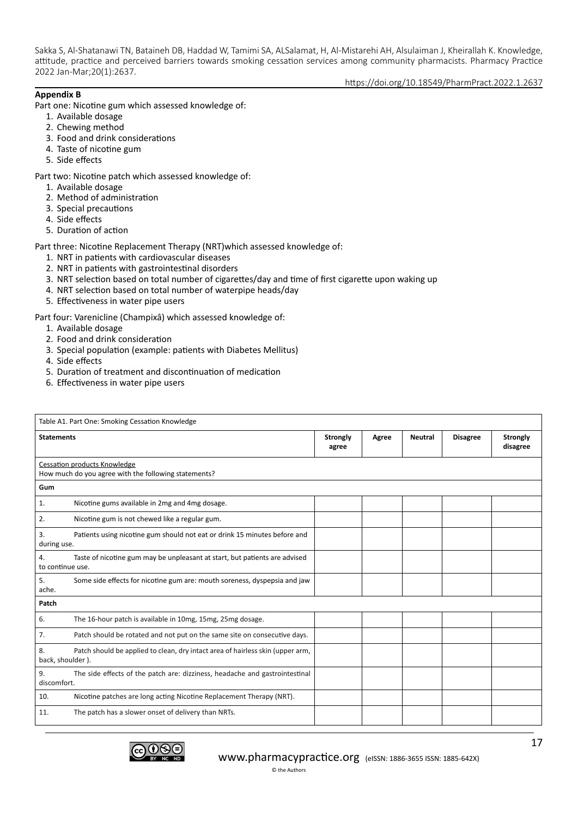https://doi.org/10.18549/PharmPract.2022.1.2637

## **Appendix B**

Part one: Nicotine gum which assessed knowledge of:

- 1. Available dosage
- 2. Chewing method
- 3. Food and drink considerations
- 4. Taste of nicotine gum
- 5. Side effects

Part two: Nicotine patch which assessed knowledge of:

- 1. Available dosage
- 2. Method of administration
- 3. Special precautions
- 4. Side effects
- 5. Duration of action

Part three: Nicotine Replacement Therapy (NRT)which assessed knowledge of:

- 1. NRT in patients with cardiovascular diseases
- 2. NRT in patients with gastrointestinal disorders
- 3. NRT selection based on total number of cigarettes/day and time of first cigarette upon waking up
- 4. NRT selection based on total number of waterpipe heads/day
- 5. Effectiveness in water pipe users

Part four: Varenicline (Champixâ) which assessed knowledge of:

- 1. Available dosage
- 2. Food and drink consideration
- 3. Special population (example: patients with Diabetes Mellitus)
- 4. Side effects
- 5. Duration of treatment and discontinuation of medication
- 6. Effectiveness in water pipe users

|                        | Table A1. Part One: Smoking Cessation Knowledge                                             |  |       |                |                 |                             |
|------------------------|---------------------------------------------------------------------------------------------|--|-------|----------------|-----------------|-----------------------------|
|                        | <b>Statements</b>                                                                           |  | Agree | <b>Neutral</b> | <b>Disagree</b> | <b>Strongly</b><br>disagree |
|                        | <b>Cessation products Knowledge</b><br>How much do you agree with the following statements? |  |       |                |                 |                             |
| Gum                    |                                                                                             |  |       |                |                 |                             |
| 1.                     | Nicotine gums available in 2mg and 4mg dosage.                                              |  |       |                |                 |                             |
| 2.                     | Nicotine gum is not chewed like a regular gum.                                              |  |       |                |                 |                             |
| 3.<br>during use.      | Patients using nicotine gum should not eat or drink 15 minutes before and                   |  |       |                |                 |                             |
| 4.<br>to continue use. | Taste of nicotine gum may be unpleasant at start, but patients are advised                  |  |       |                |                 |                             |
| 5.<br>ache.            | Some side effects for nicotine gum are: mouth soreness, dyspepsia and jaw                   |  |       |                |                 |                             |
| Patch                  |                                                                                             |  |       |                |                 |                             |
| 6.                     | The 16-hour patch is available in 10mg, 15mg, 25mg dosage.                                  |  |       |                |                 |                             |
| 7.                     | Patch should be rotated and not put on the same site on consecutive days.                   |  |       |                |                 |                             |
| 8.<br>back, shoulder). | Patch should be applied to clean, dry intact area of hairless skin (upper arm,              |  |       |                |                 |                             |
| 9.<br>discomfort.      | The side effects of the patch are: dizziness, headache and gastrointestinal                 |  |       |                |                 |                             |
| 10.                    | Nicotine patches are long acting Nicotine Replacement Therapy (NRT).                        |  |       |                |                 |                             |
| 11.                    | The patch has a slower onset of delivery than NRTs.                                         |  |       |                |                 |                             |

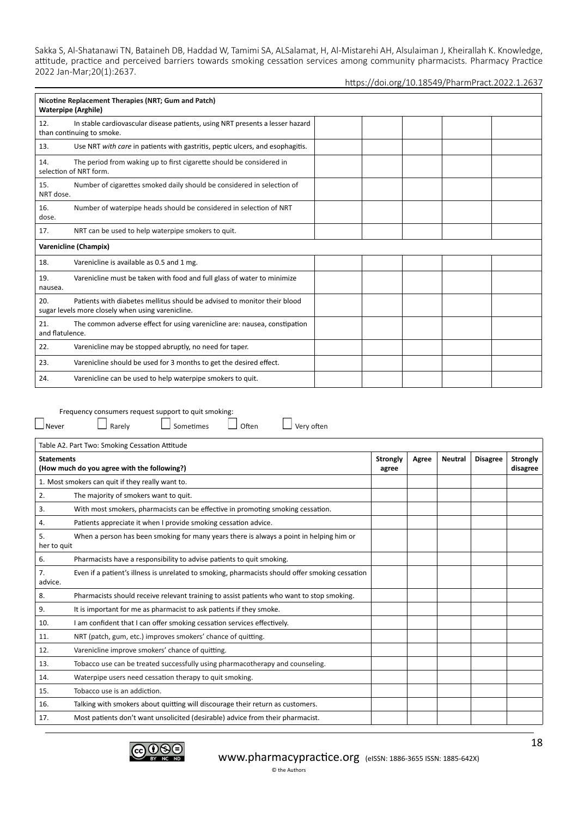| Nicotine Replacement Therapies (NRT; Gum and Patch)<br><b>Waterpipe (Arghile)</b>                                                    |  |  |  |  |  |
|--------------------------------------------------------------------------------------------------------------------------------------|--|--|--|--|--|
| In stable cardiovascular disease patients, using NRT presents a lesser hazard<br>12.<br>than continuing to smoke.                    |  |  |  |  |  |
| 13.<br>Use NRT with care in patients with gastritis, peptic ulcers, and esophagitis.                                                 |  |  |  |  |  |
| The period from waking up to first cigarette should be considered in<br>14.<br>selection of NRT form.                                |  |  |  |  |  |
| 15.<br>Number of cigarettes smoked daily should be considered in selection of<br>NRT dose.                                           |  |  |  |  |  |
| Number of waterpipe heads should be considered in selection of NRT<br>16.<br>dose.                                                   |  |  |  |  |  |
| NRT can be used to help waterpipe smokers to quit.<br>17.                                                                            |  |  |  |  |  |
| Varenicline (Champix)                                                                                                                |  |  |  |  |  |
| 18.<br>Varenicline is available as 0.5 and 1 mg.                                                                                     |  |  |  |  |  |
| Varenicline must be taken with food and full glass of water to minimize<br>19.<br>nausea.                                            |  |  |  |  |  |
| Patients with diabetes mellitus should be advised to monitor their blood<br>20.<br>sugar levels more closely when using varenicline. |  |  |  |  |  |
| The common adverse effect for using varenicline are: nausea, constipation<br>21.<br>and flatulence.                                  |  |  |  |  |  |
| 22.<br>Varenicline may be stopped abruptly, no need for taper.                                                                       |  |  |  |  |  |
| 23.<br>Varenicline should be used for 3 months to get the desired effect.                                                            |  |  |  |  |  |
| 24.<br>Varenicline can be used to help waterpipe smokers to quit.                                                                    |  |  |  |  |  |

| Often<br>Rarely<br>Sometimes<br>Very often<br>$\Box$ Never                                                       |                          |       |                |                 |                             |
|------------------------------------------------------------------------------------------------------------------|--------------------------|-------|----------------|-----------------|-----------------------------|
|                                                                                                                  |                          |       |                |                 |                             |
| Table A2. Part Two: Smoking Cessation Attitude                                                                   |                          |       |                |                 |                             |
| <b>Statements</b><br>(How much do you agree with the following?)                                                 | <b>Strongly</b><br>agree | Agree | <b>Neutral</b> | <b>Disagree</b> | <b>Strongly</b><br>disagree |
| 1. Most smokers can quit if they really want to.                                                                 |                          |       |                |                 |                             |
| 2.<br>The majority of smokers want to quit.                                                                      |                          |       |                |                 |                             |
| With most smokers, pharmacists can be effective in promoting smoking cessation.<br>3.                            |                          |       |                |                 |                             |
| Patients appreciate it when I provide smoking cessation advice.<br>4.                                            |                          |       |                |                 |                             |
| When a person has been smoking for many years there is always a point in helping him or<br>5.<br>her to quit     |                          |       |                |                 |                             |
| Pharmacists have a responsibility to advise patients to quit smoking.<br>6.                                      |                          |       |                |                 |                             |
| Even if a patient's illness is unrelated to smoking, pharmacists should offer smoking cessation<br>7.<br>advice. |                          |       |                |                 |                             |
| Pharmacists should receive relevant training to assist patients who want to stop smoking.<br>8.                  |                          |       |                |                 |                             |
| It is important for me as pharmacist to ask patients if they smoke.<br>9.                                        |                          |       |                |                 |                             |
| I am confident that I can offer smoking cessation services effectively.<br>10.                                   |                          |       |                |                 |                             |
| NRT (patch, gum, etc.) improves smokers' chance of quitting.<br>11.                                              |                          |       |                |                 |                             |
| Varenicline improve smokers' chance of quitting.<br>12.                                                          |                          |       |                |                 |                             |
| Tobacco use can be treated successfully using pharmacotherapy and counseling.<br>13.                             |                          |       |                |                 |                             |
| Waterpipe users need cessation therapy to quit smoking.<br>14.                                                   |                          |       |                |                 |                             |
| Tobacco use is an addiction.<br>15.                                                                              |                          |       |                |                 |                             |
| Talking with smokers about quitting will discourage their return as customers.<br>16.                            |                          |       |                |                 |                             |
| 17.<br>Most patients don't want unsolicited (desirable) advice from their pharmacist.                            |                          |       |                |                 |                             |



# [www.pharmacypractice.org](https://orcid.org/0000-0003-3455-7491) (eISSN: 1886-3655 ISSN: 1885-642X) © the Authors